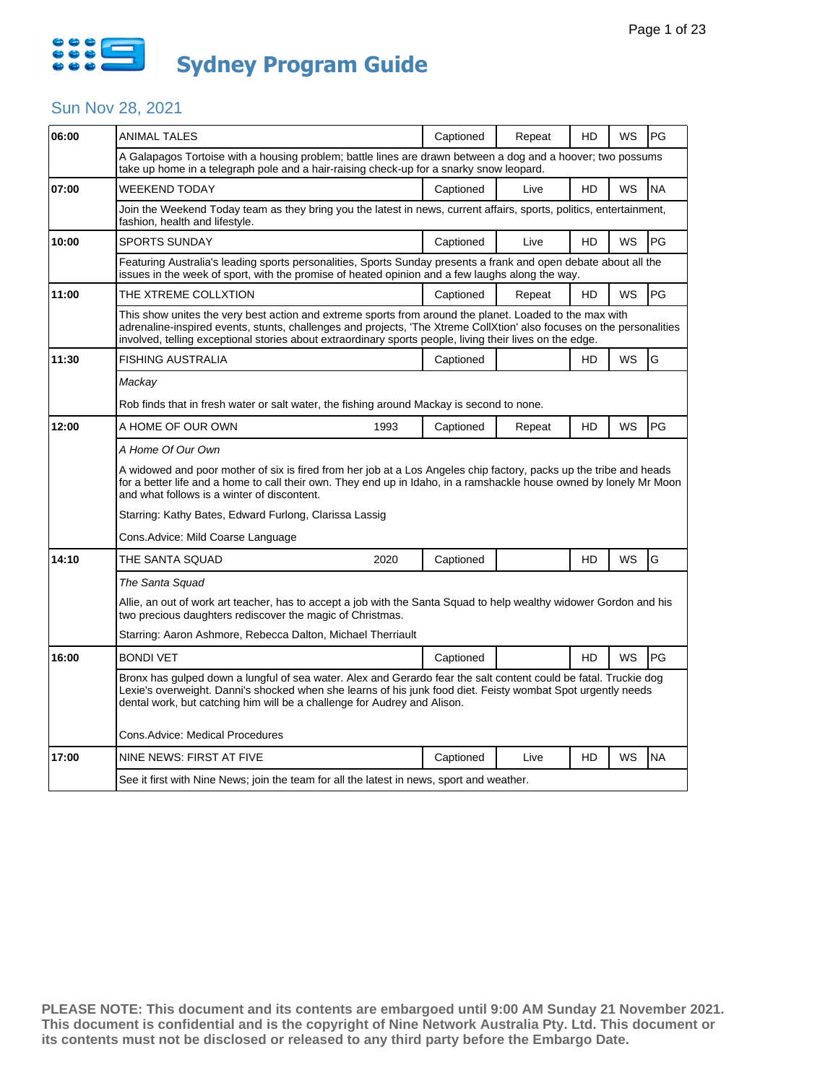

| 06:00 | ANIMAL TALES                                                                                                                                                                                                                                                                                                                                 | Captioned                                                                                                                                                                                              | Repeat | HD | WS        | PG        |  |  |  |
|-------|----------------------------------------------------------------------------------------------------------------------------------------------------------------------------------------------------------------------------------------------------------------------------------------------------------------------------------------------|--------------------------------------------------------------------------------------------------------------------------------------------------------------------------------------------------------|--------|----|-----------|-----------|--|--|--|
|       |                                                                                                                                                                                                                                                                                                                                              | A Galapagos Tortoise with a housing problem; battle lines are drawn between a dog and a hoover; two possums<br>take up home in a telegraph pole and a hair-raising check-up for a snarky snow leopard. |        |    |           |           |  |  |  |
| 07:00 | WEEKEND TODAY                                                                                                                                                                                                                                                                                                                                | Captioned                                                                                                                                                                                              | Live   | HD | WS        | <b>NA</b> |  |  |  |
|       | Join the Weekend Today team as they bring you the latest in news, current affairs, sports, politics, entertainment,<br>fashion, health and lifestyle.                                                                                                                                                                                        |                                                                                                                                                                                                        |        |    |           |           |  |  |  |
| 10:00 | <b>SPORTS SUNDAY</b>                                                                                                                                                                                                                                                                                                                         | Captioned                                                                                                                                                                                              | Live   | HD | <b>WS</b> | PG        |  |  |  |
|       | Featuring Australia's leading sports personalities, Sports Sunday presents a frank and open debate about all the<br>issues in the week of sport, with the promise of heated opinion and a few laughs along the way.                                                                                                                          |                                                                                                                                                                                                        |        |    |           |           |  |  |  |
| 11:00 | THE XTREME COLLXTION                                                                                                                                                                                                                                                                                                                         | Captioned                                                                                                                                                                                              | Repeat | HD | <b>WS</b> | PG        |  |  |  |
|       | This show unites the very best action and extreme sports from around the planet. Loaded to the max with<br>adrenaline-inspired events, stunts, challenges and projects, 'The Xtreme CollXtion' also focuses on the personalities<br>involved, telling exceptional stories about extraordinary sports people, living their lives on the edge. |                                                                                                                                                                                                        |        |    |           |           |  |  |  |
| 11:30 | <b>FISHING AUSTRALIA</b>                                                                                                                                                                                                                                                                                                                     | Captioned                                                                                                                                                                                              |        | HD | <b>WS</b> | G         |  |  |  |
|       | Mackay                                                                                                                                                                                                                                                                                                                                       |                                                                                                                                                                                                        |        |    |           |           |  |  |  |
|       | Rob finds that in fresh water or salt water, the fishing around Mackay is second to none.                                                                                                                                                                                                                                                    |                                                                                                                                                                                                        |        |    |           |           |  |  |  |
| 12:00 | A HOME OF OUR OWN<br>1993                                                                                                                                                                                                                                                                                                                    | Captioned                                                                                                                                                                                              | Repeat | HD | WS        | PG        |  |  |  |
|       | A Home Of Our Own                                                                                                                                                                                                                                                                                                                            |                                                                                                                                                                                                        |        |    |           |           |  |  |  |
|       | A widowed and poor mother of six is fired from her job at a Los Angeles chip factory, packs up the tribe and heads<br>for a better life and a home to call their own. They end up in Idaho, in a ramshackle house owned by lonely Mr Moon<br>and what follows is a winter of discontent.                                                     |                                                                                                                                                                                                        |        |    |           |           |  |  |  |
|       | Starring: Kathy Bates, Edward Furlong, Clarissa Lassig                                                                                                                                                                                                                                                                                       |                                                                                                                                                                                                        |        |    |           |           |  |  |  |
|       | Cons.Advice: Mild Coarse Language                                                                                                                                                                                                                                                                                                            |                                                                                                                                                                                                        |        |    |           |           |  |  |  |
| 14:10 | THE SANTA SQUAD<br>2020                                                                                                                                                                                                                                                                                                                      | Captioned                                                                                                                                                                                              |        | HD | WS        | G         |  |  |  |
|       | The Santa Squad                                                                                                                                                                                                                                                                                                                              |                                                                                                                                                                                                        |        |    |           |           |  |  |  |
|       | Allie, an out of work art teacher, has to accept a job with the Santa Squad to help wealthy widower Gordon and his<br>two precious daughters rediscover the magic of Christmas.                                                                                                                                                              |                                                                                                                                                                                                        |        |    |           |           |  |  |  |
|       | Starring: Aaron Ashmore, Rebecca Dalton, Michael Therriault                                                                                                                                                                                                                                                                                  |                                                                                                                                                                                                        |        |    |           |           |  |  |  |
| 16:00 | <b>BONDI VET</b>                                                                                                                                                                                                                                                                                                                             | Captioned                                                                                                                                                                                              |        | HD | WS        | PG        |  |  |  |
|       | Bronx has gulped down a lungful of sea water. Alex and Gerardo fear the salt content could be fatal. Truckie dog<br>Lexie's overweight. Danni's shocked when she learns of his junk food diet. Feisty wombat Spot urgently needs<br>dental work, but catching him will be a challenge for Audrey and Alison.                                 |                                                                                                                                                                                                        |        |    |           |           |  |  |  |
|       | Cons.Advice: Medical Procedures                                                                                                                                                                                                                                                                                                              |                                                                                                                                                                                                        |        |    |           |           |  |  |  |
| 17:00 | NINE NEWS: FIRST AT FIVE                                                                                                                                                                                                                                                                                                                     | Captioned                                                                                                                                                                                              | Live   | HD | WS        | <b>NA</b> |  |  |  |
|       | See it first with Nine News; join the team for all the latest in news, sport and weather.                                                                                                                                                                                                                                                    |                                                                                                                                                                                                        |        |    |           |           |  |  |  |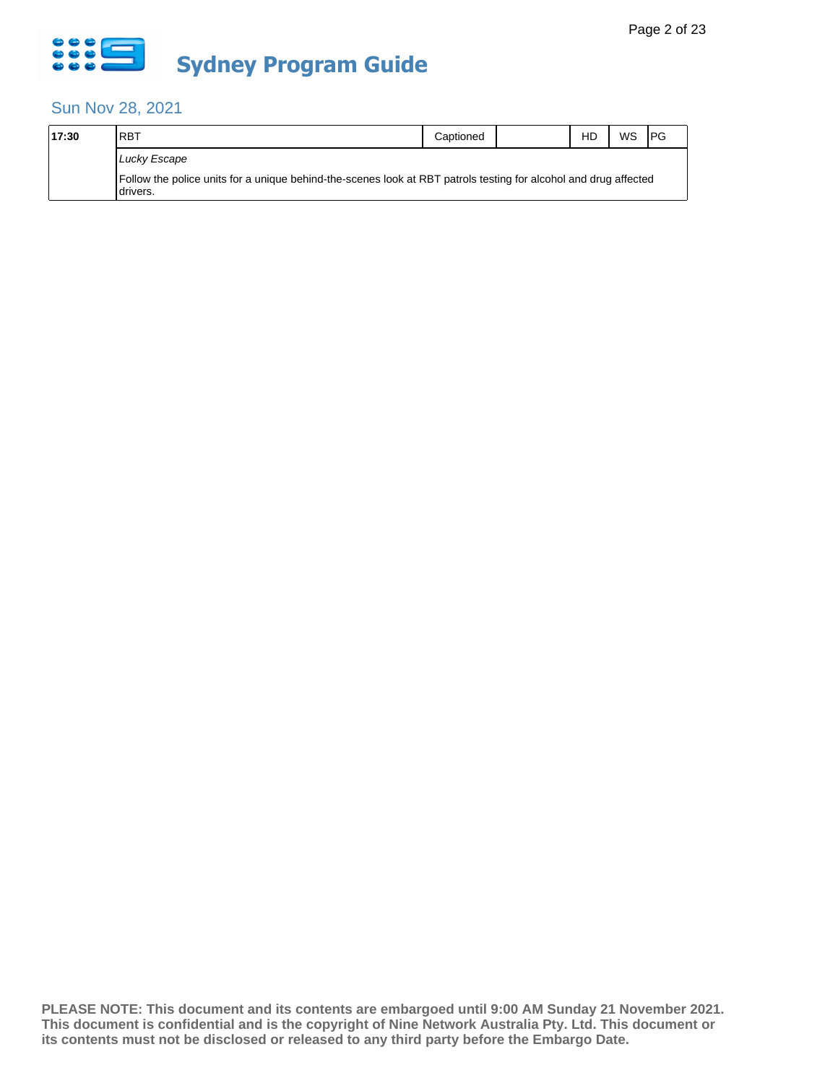

| 17:30 | <b>IRBT</b>                                                                                                                   | Captioned | HD | WS | <b>PG</b> |
|-------|-------------------------------------------------------------------------------------------------------------------------------|-----------|----|----|-----------|
|       | Lucky Escape                                                                                                                  |           |    |    |           |
|       | Follow the police units for a unique behind-the-scenes look at RBT patrols testing for alcohol and drug affected<br>Idrivers. |           |    |    |           |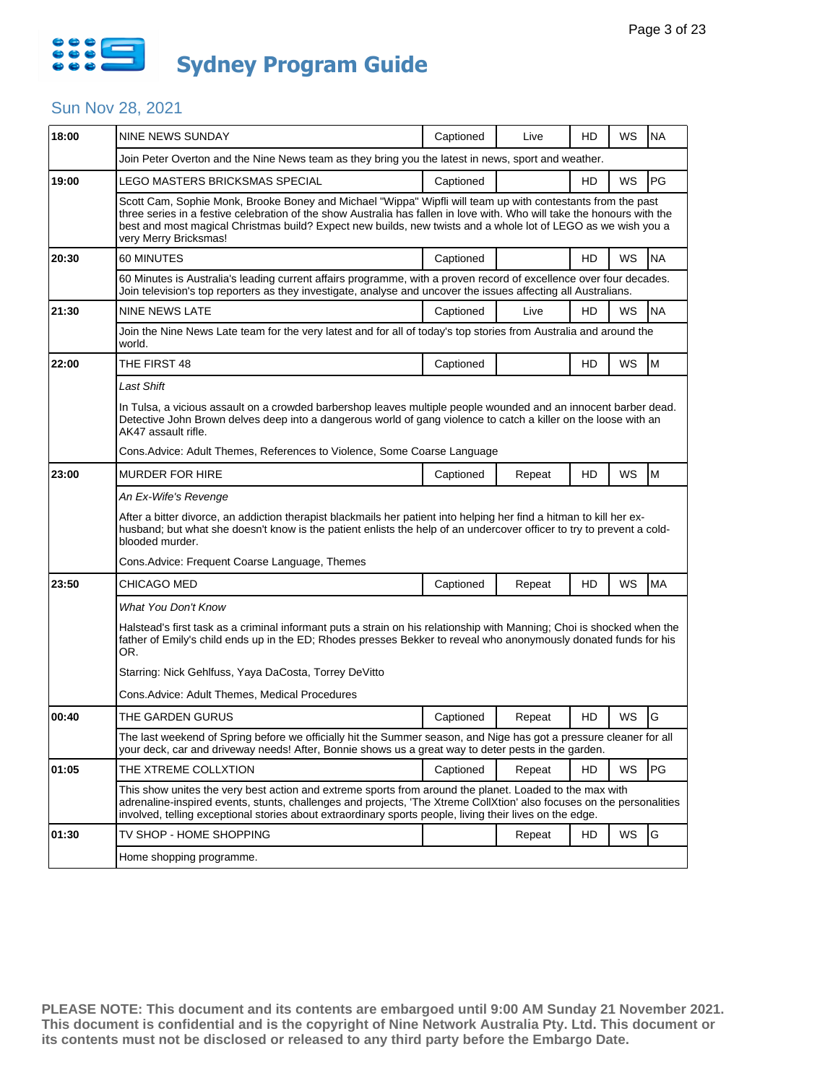

| 18:00 | NINE NEWS SUNDAY                                                                                                                                                                                                                                                                                                                                                                 | Captioned | Live   | HD | WS | <b>NA</b> |  |  |
|-------|----------------------------------------------------------------------------------------------------------------------------------------------------------------------------------------------------------------------------------------------------------------------------------------------------------------------------------------------------------------------------------|-----------|--------|----|----|-----------|--|--|
|       | Join Peter Overton and the Nine News team as they bring you the latest in news, sport and weather.                                                                                                                                                                                                                                                                               |           |        |    |    |           |  |  |
| 19:00 | LEGO MASTERS BRICKSMAS SPECIAL                                                                                                                                                                                                                                                                                                                                                   | Captioned |        | HD | WS | PG        |  |  |
|       | Scott Cam, Sophie Monk, Brooke Boney and Michael "Wippa" Wipfli will team up with contestants from the past<br>three series in a festive celebration of the show Australia has fallen in love with. Who will take the honours with the<br>best and most magical Christmas build? Expect new builds, new twists and a whole lot of LEGO as we wish you a<br>very Merry Bricksmas! |           |        |    |    |           |  |  |
| 20:30 | 60 MINUTES                                                                                                                                                                                                                                                                                                                                                                       | Captioned |        | HD | WS | <b>NA</b> |  |  |
|       | 60 Minutes is Australia's leading current affairs programme, with a proven record of excellence over four decades.<br>Join television's top reporters as they investigate, analyse and uncover the issues affecting all Australians.                                                                                                                                             |           |        |    |    |           |  |  |
| 21:30 | <b>NINE NEWS LATE</b>                                                                                                                                                                                                                                                                                                                                                            | Captioned | Live   | HD | WS | <b>NA</b> |  |  |
|       | Join the Nine News Late team for the very latest and for all of today's top stories from Australia and around the<br>world.                                                                                                                                                                                                                                                      |           |        |    |    |           |  |  |
| 22:00 | THE FIRST 48                                                                                                                                                                                                                                                                                                                                                                     | Captioned |        | HD | ws | M         |  |  |
|       | Last Shift                                                                                                                                                                                                                                                                                                                                                                       |           |        |    |    |           |  |  |
|       | In Tulsa, a vicious assault on a crowded barbershop leaves multiple people wounded and an innocent barber dead.<br>Detective John Brown delves deep into a dangerous world of gang violence to catch a killer on the loose with an<br>AK47 assault rifle.                                                                                                                        |           |        |    |    |           |  |  |
|       | Cons.Advice: Adult Themes, References to Violence, Some Coarse Language                                                                                                                                                                                                                                                                                                          |           |        |    |    |           |  |  |
| 23:00 | <b>MURDER FOR HIRE</b>                                                                                                                                                                                                                                                                                                                                                           | Captioned | Repeat | HD | WS | M         |  |  |
|       | An Ex-Wife's Revenge                                                                                                                                                                                                                                                                                                                                                             |           |        |    |    |           |  |  |
|       | After a bitter divorce, an addiction therapist blackmails her patient into helping her find a hitman to kill her ex-<br>husband; but what she doesn't know is the patient enlists the help of an undercover officer to try to prevent a cold-<br>blooded murder.                                                                                                                 |           |        |    |    |           |  |  |
|       | Cons. Advice: Frequent Coarse Language, Themes                                                                                                                                                                                                                                                                                                                                   |           |        |    |    |           |  |  |
| 23:50 | CHICAGO MED                                                                                                                                                                                                                                                                                                                                                                      | Captioned | Repeat | HD | WS | <b>MA</b> |  |  |
|       | What You Don't Know                                                                                                                                                                                                                                                                                                                                                              |           |        |    |    |           |  |  |
|       | Halstead's first task as a criminal informant puts a strain on his relationship with Manning; Choi is shocked when the<br>father of Emily's child ends up in the ED; Rhodes presses Bekker to reveal who anonymously donated funds for his<br>OR.                                                                                                                                |           |        |    |    |           |  |  |
|       | Starring: Nick Gehlfuss, Yaya DaCosta, Torrey DeVitto                                                                                                                                                                                                                                                                                                                            |           |        |    |    |           |  |  |
|       | Cons.Advice: Adult Themes, Medical Procedures                                                                                                                                                                                                                                                                                                                                    |           |        |    |    |           |  |  |
| 00:40 | THE GARDEN GURUS                                                                                                                                                                                                                                                                                                                                                                 | Captioned | Repeat | HD | WS | G         |  |  |
|       | The last weekend of Spring before we officially hit the Summer season, and Nige has got a pressure cleaner for all<br>your deck, car and driveway needs! After, Bonnie shows us a great way to deter pests in the garden.                                                                                                                                                        |           |        |    |    |           |  |  |
| 01:05 | THE XTREME COLLXTION                                                                                                                                                                                                                                                                                                                                                             | Captioned | Repeat | HD | WS | PG        |  |  |
|       | This show unites the very best action and extreme sports from around the planet. Loaded to the max with<br>adrenaline-inspired events, stunts, challenges and projects, 'The Xtreme CollXtion' also focuses on the personalities<br>involved, telling exceptional stories about extraordinary sports people, living their lives on the edge.                                     |           |        |    |    |           |  |  |
| 01:30 | TV SHOP - HOME SHOPPING                                                                                                                                                                                                                                                                                                                                                          |           | Repeat | HD | WS | G         |  |  |
|       | Home shopping programme.                                                                                                                                                                                                                                                                                                                                                         |           |        |    |    |           |  |  |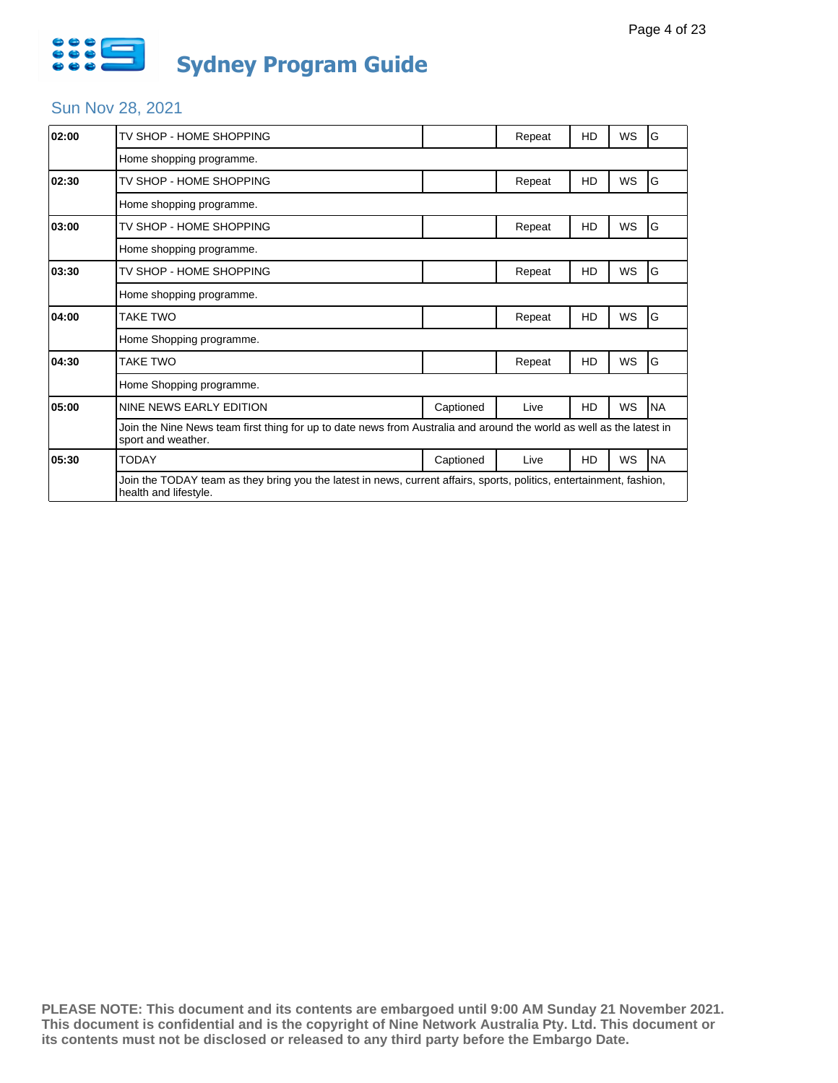

| 02:00 | TV SHOP - HOME SHOPPING                                                                                                                       |           | Repeat | HD        | WS | G          |
|-------|-----------------------------------------------------------------------------------------------------------------------------------------------|-----------|--------|-----------|----|------------|
|       | Home shopping programme.                                                                                                                      |           |        |           |    |            |
| 02:30 | TV SHOP - HOME SHOPPING                                                                                                                       |           | Repeat | HD        | WS | G          |
|       | Home shopping programme.                                                                                                                      |           |        |           |    |            |
| 03:00 | TV SHOP - HOME SHOPPING                                                                                                                       |           | Repeat | HD        | WS | G          |
|       | Home shopping programme.                                                                                                                      |           |        |           |    |            |
| 03:30 | TV SHOP - HOME SHOPPING                                                                                                                       |           | Repeat | HD        | WS | G          |
|       | Home shopping programme.                                                                                                                      |           |        |           |    |            |
| 04:00 | <b>TAKE TWO</b>                                                                                                                               |           | Repeat | HD        | WS | G          |
|       | Home Shopping programme.                                                                                                                      |           |        |           |    |            |
| 04:30 | <b>TAKE TWO</b>                                                                                                                               |           | Repeat | HD        | WS | G          |
|       | Home Shopping programme.                                                                                                                      |           |        |           |    |            |
| 05:00 | NINE NEWS EARLY EDITION                                                                                                                       | Captioned | Live   | <b>HD</b> | WS | <b>NA</b>  |
|       | Join the Nine News team first thing for up to date news from Australia and around the world as well as the latest in<br>sport and weather.    |           |        |           |    |            |
| 05:30 | <b>TODAY</b>                                                                                                                                  | Captioned | Live   | HD        | WS | <b>INA</b> |
|       | Join the TODAY team as they bring you the latest in news, current affairs, sports, politics, entertainment, fashion,<br>health and lifestyle. |           |        |           |    |            |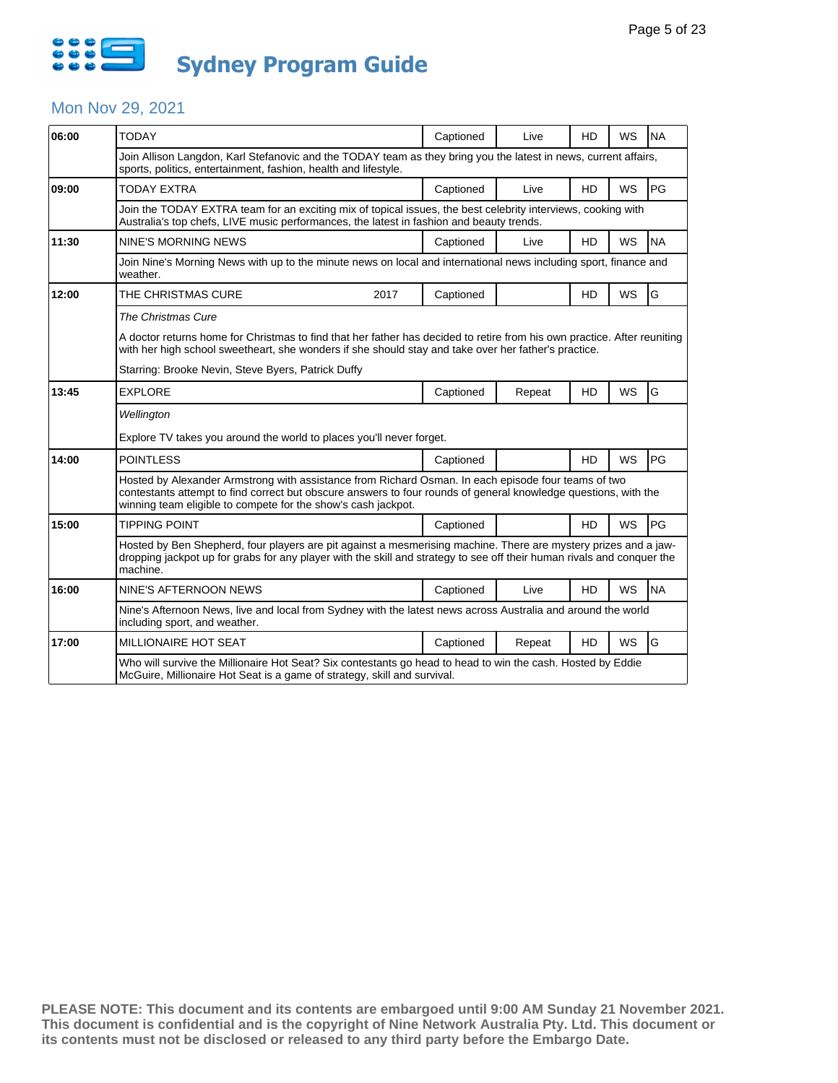

#### Mon Nov 29, 2021

| 06:00 | <b>TODAY</b>                                                                                                                                                                                                                                                                            |                                                                                                              | Captioned | Live   | <b>HD</b> | <b>WS</b> | <b>NA</b> |  |  |
|-------|-----------------------------------------------------------------------------------------------------------------------------------------------------------------------------------------------------------------------------------------------------------------------------------------|--------------------------------------------------------------------------------------------------------------|-----------|--------|-----------|-----------|-----------|--|--|
|       | Join Allison Langdon, Karl Stefanovic and the TODAY team as they bring you the latest in news, current affairs,<br>sports, politics, entertainment, fashion, health and lifestyle.                                                                                                      |                                                                                                              |           |        |           |           |           |  |  |
| 09:00 | <b>TODAY EXTRA</b>                                                                                                                                                                                                                                                                      |                                                                                                              | Captioned | Live   | <b>HD</b> | <b>WS</b> | PG        |  |  |
|       | Join the TODAY EXTRA team for an exciting mix of topical issues, the best celebrity interviews, cooking with<br>Australia's top chefs, LIVE music performances, the latest in fashion and beauty trends.                                                                                |                                                                                                              |           |        |           |           |           |  |  |
| 11:30 | NINE'S MORNING NEWS                                                                                                                                                                                                                                                                     |                                                                                                              | Captioned | Live   | HD        | <b>WS</b> | <b>NA</b> |  |  |
|       | Join Nine's Morning News with up to the minute news on local and international news including sport, finance and<br>weather.                                                                                                                                                            |                                                                                                              |           |        |           |           |           |  |  |
| 12:00 | THE CHRISTMAS CURE                                                                                                                                                                                                                                                                      | 2017                                                                                                         | Captioned |        | <b>HD</b> | <b>WS</b> | G         |  |  |
|       | The Christmas Cure                                                                                                                                                                                                                                                                      |                                                                                                              |           |        |           |           |           |  |  |
|       | A doctor returns home for Christmas to find that her father has decided to retire from his own practice. After reuniting<br>with her high school sweetheart, she wonders if she should stay and take over her father's practice.                                                        |                                                                                                              |           |        |           |           |           |  |  |
|       | Starring: Brooke Nevin, Steve Byers, Patrick Duffy                                                                                                                                                                                                                                      |                                                                                                              |           |        |           |           |           |  |  |
| 13:45 | <b>EXPLORE</b>                                                                                                                                                                                                                                                                          |                                                                                                              | Captioned | Repeat | HD        | WS        | G         |  |  |
|       | Wellington                                                                                                                                                                                                                                                                              |                                                                                                              |           |        |           |           |           |  |  |
|       | Explore TV takes you around the world to places you'll never forget.                                                                                                                                                                                                                    |                                                                                                              |           |        |           |           |           |  |  |
| 14:00 | <b>POINTLESS</b>                                                                                                                                                                                                                                                                        |                                                                                                              | Captioned |        | <b>HD</b> | <b>WS</b> | PG        |  |  |
|       | Hosted by Alexander Armstrong with assistance from Richard Osman. In each episode four teams of two<br>contestants attempt to find correct but obscure answers to four rounds of general knowledge questions, with the<br>winning team eligible to compete for the show's cash jackpot. |                                                                                                              |           |        |           |           |           |  |  |
| 15:00 | <b>TIPPING POINT</b>                                                                                                                                                                                                                                                                    |                                                                                                              | Captioned |        | <b>HD</b> | <b>WS</b> | PG        |  |  |
|       | Hosted by Ben Shepherd, four players are pit against a mesmerising machine. There are mystery prizes and a jaw-<br>dropping jackpot up for grabs for any player with the skill and strategy to see off their human rivals and conquer the<br>machine.                                   |                                                                                                              |           |        |           |           |           |  |  |
| 16:00 | NINE'S AFTERNOON NEWS                                                                                                                                                                                                                                                                   |                                                                                                              | Captioned | Live   | HD        | <b>WS</b> | <b>NA</b> |  |  |
|       | including sport, and weather.                                                                                                                                                                                                                                                           | Nine's Afternoon News, live and local from Sydney with the latest news across Australia and around the world |           |        |           |           |           |  |  |
| 17:00 | MILLIONAIRE HOT SEAT                                                                                                                                                                                                                                                                    |                                                                                                              | Captioned | Repeat | <b>HD</b> | <b>WS</b> | G         |  |  |
|       | Who will survive the Millionaire Hot Seat? Six contestants go head to head to win the cash. Hosted by Eddie<br>McGuire, Millionaire Hot Seat is a game of strategy, skill and survival.                                                                                                 |                                                                                                              |           |        |           |           |           |  |  |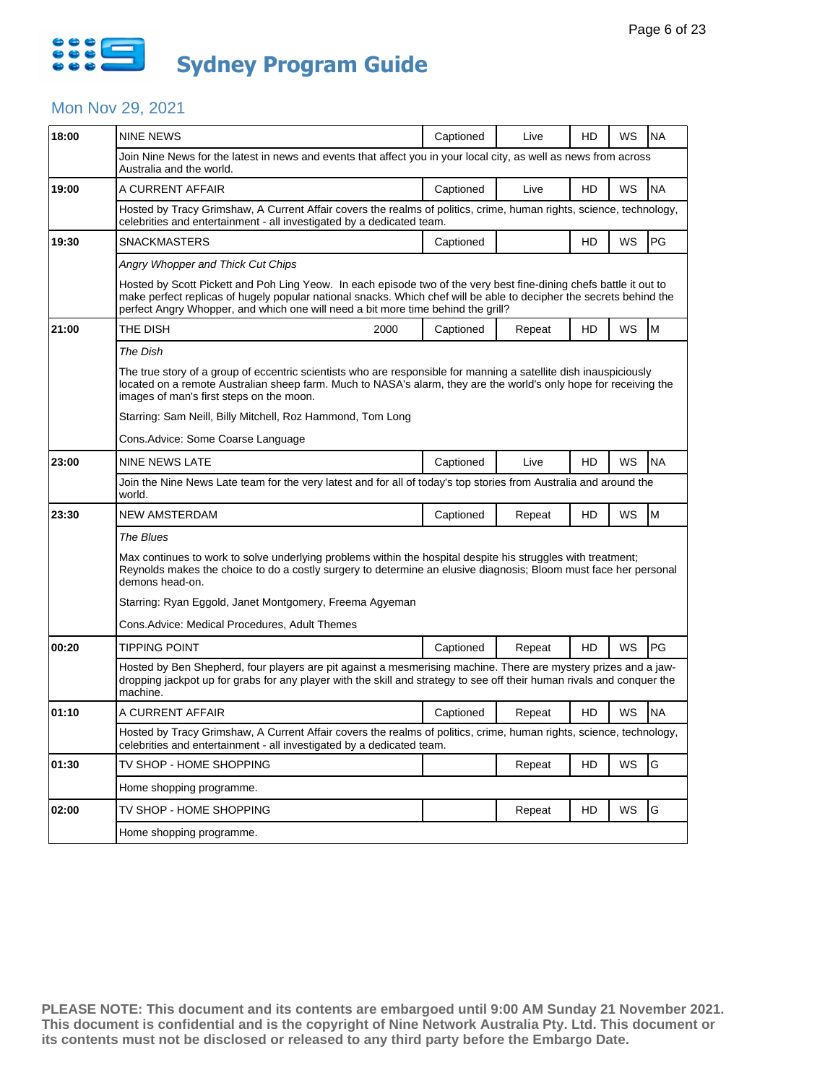

## Mon Nov 29, 2021

| WS<br><b>NA</b><br>Join Nine News for the latest in news and events that affect you in your local city, as well as news from across<br>WS<br><b>NA</b><br>Hosted by Tracy Grimshaw, A Current Affair covers the realms of politics, crime, human rights, science, technology,<br>PG<br>WS<br>Hosted by Scott Pickett and Poh Ling Yeow. In each episode two of the very best fine-dining chefs battle it out to<br>make perfect replicas of hugely popular national snacks. Which chef will be able to decipher the secrets behind the<br>M<br>WS<br>The true story of a group of eccentric scientists who are responsible for manning a satellite dish inauspiciously<br>located on a remote Australian sheep farm. Much to NASA's alarm, they are the world's only hope for receiving the<br>WS<br><b>NA</b> |  |  |  |  |  |  |
|----------------------------------------------------------------------------------------------------------------------------------------------------------------------------------------------------------------------------------------------------------------------------------------------------------------------------------------------------------------------------------------------------------------------------------------------------------------------------------------------------------------------------------------------------------------------------------------------------------------------------------------------------------------------------------------------------------------------------------------------------------------------------------------------------------------|--|--|--|--|--|--|
|                                                                                                                                                                                                                                                                                                                                                                                                                                                                                                                                                                                                                                                                                                                                                                                                                |  |  |  |  |  |  |
|                                                                                                                                                                                                                                                                                                                                                                                                                                                                                                                                                                                                                                                                                                                                                                                                                |  |  |  |  |  |  |
|                                                                                                                                                                                                                                                                                                                                                                                                                                                                                                                                                                                                                                                                                                                                                                                                                |  |  |  |  |  |  |
|                                                                                                                                                                                                                                                                                                                                                                                                                                                                                                                                                                                                                                                                                                                                                                                                                |  |  |  |  |  |  |
|                                                                                                                                                                                                                                                                                                                                                                                                                                                                                                                                                                                                                                                                                                                                                                                                                |  |  |  |  |  |  |
|                                                                                                                                                                                                                                                                                                                                                                                                                                                                                                                                                                                                                                                                                                                                                                                                                |  |  |  |  |  |  |
|                                                                                                                                                                                                                                                                                                                                                                                                                                                                                                                                                                                                                                                                                                                                                                                                                |  |  |  |  |  |  |
|                                                                                                                                                                                                                                                                                                                                                                                                                                                                                                                                                                                                                                                                                                                                                                                                                |  |  |  |  |  |  |
|                                                                                                                                                                                                                                                                                                                                                                                                                                                                                                                                                                                                                                                                                                                                                                                                                |  |  |  |  |  |  |
|                                                                                                                                                                                                                                                                                                                                                                                                                                                                                                                                                                                                                                                                                                                                                                                                                |  |  |  |  |  |  |
|                                                                                                                                                                                                                                                                                                                                                                                                                                                                                                                                                                                                                                                                                                                                                                                                                |  |  |  |  |  |  |
|                                                                                                                                                                                                                                                                                                                                                                                                                                                                                                                                                                                                                                                                                                                                                                                                                |  |  |  |  |  |  |
|                                                                                                                                                                                                                                                                                                                                                                                                                                                                                                                                                                                                                                                                                                                                                                                                                |  |  |  |  |  |  |
| Join the Nine News Late team for the very latest and for all of today's top stories from Australia and around the<br>world.                                                                                                                                                                                                                                                                                                                                                                                                                                                                                                                                                                                                                                                                                    |  |  |  |  |  |  |
| M<br>WS                                                                                                                                                                                                                                                                                                                                                                                                                                                                                                                                                                                                                                                                                                                                                                                                        |  |  |  |  |  |  |
| The Blues                                                                                                                                                                                                                                                                                                                                                                                                                                                                                                                                                                                                                                                                                                                                                                                                      |  |  |  |  |  |  |
| Max continues to work to solve underlying problems within the hospital despite his struggles with treatment;<br>Reynolds makes the choice to do a costly surgery to determine an elusive diagnosis; Bloom must face her personal<br>demons head-on.                                                                                                                                                                                                                                                                                                                                                                                                                                                                                                                                                            |  |  |  |  |  |  |
|                                                                                                                                                                                                                                                                                                                                                                                                                                                                                                                                                                                                                                                                                                                                                                                                                |  |  |  |  |  |  |
|                                                                                                                                                                                                                                                                                                                                                                                                                                                                                                                                                                                                                                                                                                                                                                                                                |  |  |  |  |  |  |
| PG<br><b>WS</b>                                                                                                                                                                                                                                                                                                                                                                                                                                                                                                                                                                                                                                                                                                                                                                                                |  |  |  |  |  |  |
| TIPPING POINT<br>Captioned<br>Repeat<br>Hosted by Ben Shepherd, four players are pit against a mesmerising machine. There are mystery prizes and a jaw-<br>dropping jackpot up for grabs for any player with the skill and strategy to see off their human rivals and conquer the<br>machine.                                                                                                                                                                                                                                                                                                                                                                                                                                                                                                                  |  |  |  |  |  |  |
| WS<br><b>NA</b>                                                                                                                                                                                                                                                                                                                                                                                                                                                                                                                                                                                                                                                                                                                                                                                                |  |  |  |  |  |  |
| Hosted by Tracy Grimshaw, A Current Affair covers the realms of politics, crime, human rights, science, technology,                                                                                                                                                                                                                                                                                                                                                                                                                                                                                                                                                                                                                                                                                            |  |  |  |  |  |  |
| G<br>WS                                                                                                                                                                                                                                                                                                                                                                                                                                                                                                                                                                                                                                                                                                                                                                                                        |  |  |  |  |  |  |
|                                                                                                                                                                                                                                                                                                                                                                                                                                                                                                                                                                                                                                                                                                                                                                                                                |  |  |  |  |  |  |
| G<br>WS                                                                                                                                                                                                                                                                                                                                                                                                                                                                                                                                                                                                                                                                                                                                                                                                        |  |  |  |  |  |  |
|                                                                                                                                                                                                                                                                                                                                                                                                                                                                                                                                                                                                                                                                                                                                                                                                                |  |  |  |  |  |  |
|                                                                                                                                                                                                                                                                                                                                                                                                                                                                                                                                                                                                                                                                                                                                                                                                                |  |  |  |  |  |  |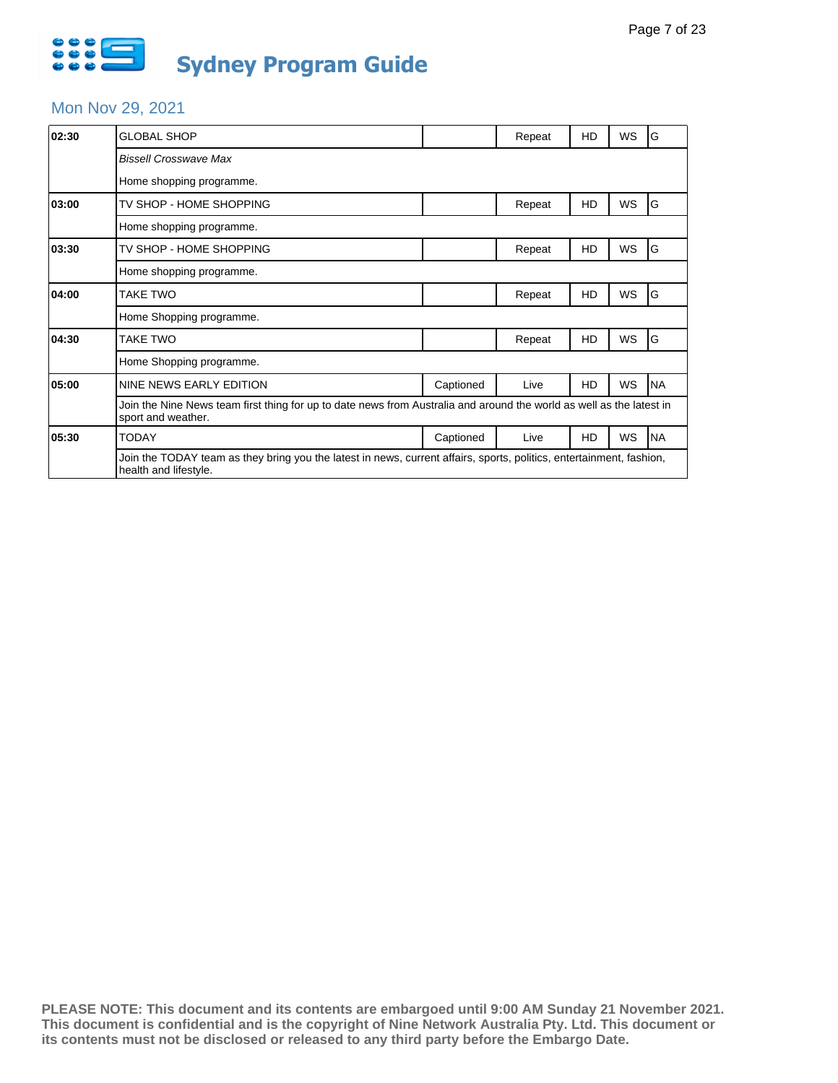

# Mon Nov 29, 2021

| 02:30 | <b>GLOBAL SHOP</b>                                                                                                                            |           | Repeat | HD | WS        | G         |  |  |
|-------|-----------------------------------------------------------------------------------------------------------------------------------------------|-----------|--------|----|-----------|-----------|--|--|
|       | <b>Bissell Crosswave Max</b>                                                                                                                  |           |        |    |           |           |  |  |
|       | Home shopping programme.                                                                                                                      |           |        |    |           |           |  |  |
| 03:00 | TV SHOP - HOME SHOPPING                                                                                                                       |           | Repeat | HD | <b>WS</b> | G         |  |  |
|       | Home shopping programme.                                                                                                                      |           |        |    |           |           |  |  |
| 03:30 | TV SHOP - HOME SHOPPING                                                                                                                       |           | Repeat | HD | <b>WS</b> | G         |  |  |
|       | Home shopping programme.                                                                                                                      |           |        |    |           |           |  |  |
| 04:00 | TAKE TWO                                                                                                                                      |           | Repeat | HD | <b>WS</b> | G         |  |  |
|       | Home Shopping programme.                                                                                                                      |           |        |    |           |           |  |  |
| 04:30 | TAKE TWO                                                                                                                                      |           | Repeat | HD | <b>WS</b> | ΙG        |  |  |
|       | Home Shopping programme.                                                                                                                      |           |        |    |           |           |  |  |
| 05:00 | NINE NEWS EARLY EDITION                                                                                                                       | Captioned | Live   | HD | WS        | <b>NA</b> |  |  |
|       | Join the Nine News team first thing for up to date news from Australia and around the world as well as the latest in<br>sport and weather.    |           |        |    |           |           |  |  |
| 05:30 | TODAY                                                                                                                                         | Captioned | Live   | HD | WS        | <b>NA</b> |  |  |
|       | Join the TODAY team as they bring you the latest in news, current affairs, sports, politics, entertainment, fashion,<br>health and lifestyle. |           |        |    |           |           |  |  |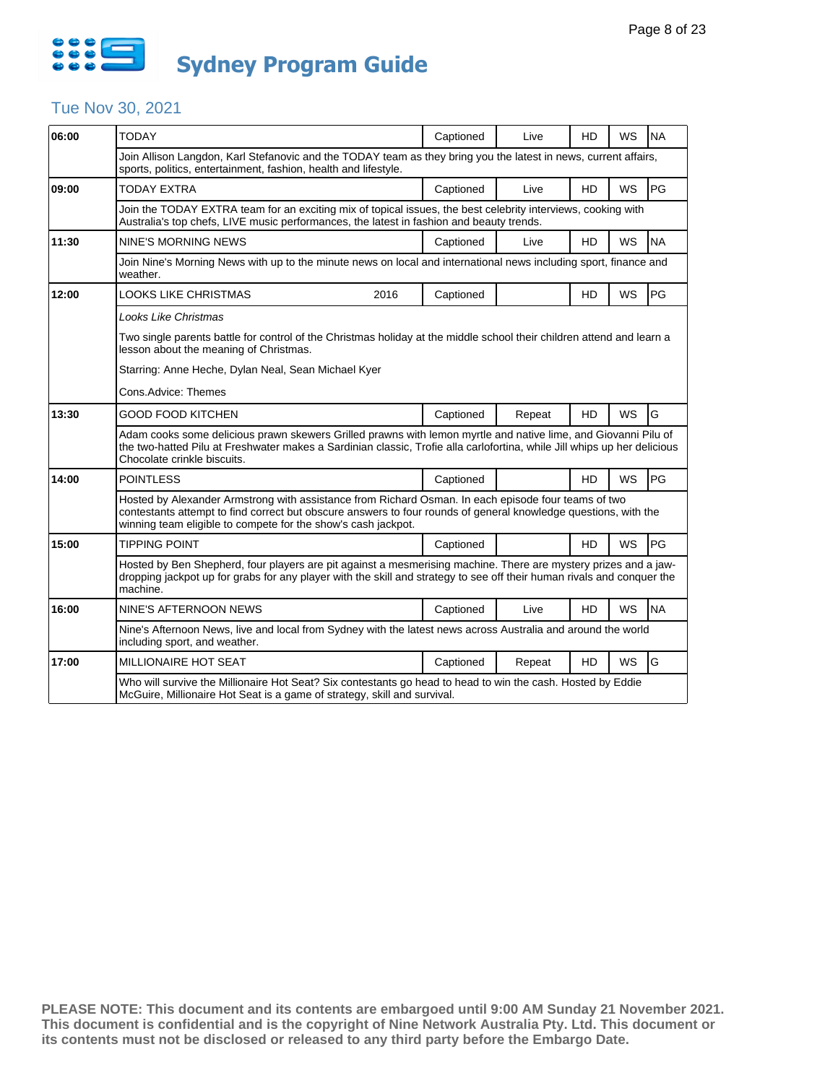

## Tue Nov 30, 2021

| 06:00 | <b>TODAY</b>                                                                                                                                                                                                                                                                            |      | Captioned | Live   | <b>HD</b> | <b>WS</b> | <b>NA</b> |  |  |
|-------|-----------------------------------------------------------------------------------------------------------------------------------------------------------------------------------------------------------------------------------------------------------------------------------------|------|-----------|--------|-----------|-----------|-----------|--|--|
|       | Join Allison Langdon, Karl Stefanovic and the TODAY team as they bring you the latest in news, current affairs,<br>sports, politics, entertainment, fashion, health and lifestyle.                                                                                                      |      |           |        |           |           |           |  |  |
| 09:00 | <b>TODAY EXTRA</b>                                                                                                                                                                                                                                                                      |      | Captioned | Live   | <b>HD</b> | <b>WS</b> | PG        |  |  |
|       | Join the TODAY EXTRA team for an exciting mix of topical issues, the best celebrity interviews, cooking with<br>Australia's top chefs, LIVE music performances, the latest in fashion and beauty trends.                                                                                |      |           |        |           |           |           |  |  |
| 11:30 | NINE'S MORNING NEWS                                                                                                                                                                                                                                                                     |      | Captioned | Live   | HD        | WS        | <b>NA</b> |  |  |
|       | Join Nine's Morning News with up to the minute news on local and international news including sport, finance and<br>weather.                                                                                                                                                            |      |           |        |           |           |           |  |  |
| 12:00 | <b>LOOKS LIKE CHRISTMAS</b>                                                                                                                                                                                                                                                             | 2016 | Captioned |        | <b>HD</b> | WS        | PG        |  |  |
|       | Looks Like Christmas                                                                                                                                                                                                                                                                    |      |           |        |           |           |           |  |  |
|       | Two single parents battle for control of the Christmas holiday at the middle school their children attend and learn a<br>lesson about the meaning of Christmas.                                                                                                                         |      |           |        |           |           |           |  |  |
|       | Starring: Anne Heche, Dylan Neal, Sean Michael Kyer                                                                                                                                                                                                                                     |      |           |        |           |           |           |  |  |
|       | Cons.Advice: Themes                                                                                                                                                                                                                                                                     |      |           |        |           |           |           |  |  |
| 13:30 | <b>GOOD FOOD KITCHEN</b>                                                                                                                                                                                                                                                                |      | Captioned | Repeat | HD        | WS        | G         |  |  |
|       | Adam cooks some delicious prawn skewers Grilled prawns with lemon myrtle and native lime, and Giovanni Pilu of<br>the two-hatted Pilu at Freshwater makes a Sardinian classic, Trofie alla carlofortina, while Jill whips up her delicious<br>Chocolate crinkle biscuits.               |      |           |        |           |           |           |  |  |
| 14:00 | POINTLESS                                                                                                                                                                                                                                                                               |      | Captioned |        | <b>HD</b> | WS        | PG        |  |  |
|       | Hosted by Alexander Armstrong with assistance from Richard Osman. In each episode four teams of two<br>contestants attempt to find correct but obscure answers to four rounds of general knowledge questions, with the<br>winning team eligible to compete for the show's cash jackpot. |      |           |        |           |           |           |  |  |
| 15:00 | <b>TIPPING POINT</b>                                                                                                                                                                                                                                                                    |      | Captioned |        | <b>HD</b> | <b>WS</b> | PG        |  |  |
|       | Hosted by Ben Shepherd, four players are pit against a mesmerising machine. There are mystery prizes and a jaw-<br>dropping jackpot up for grabs for any player with the skill and strategy to see off their human rivals and conquer the<br>machine.                                   |      |           |        |           |           |           |  |  |
| 16:00 | NINE'S AFTERNOON NEWS                                                                                                                                                                                                                                                                   |      | Captioned | Live   | HD        | <b>WS</b> | <b>NA</b> |  |  |
|       | Nine's Afternoon News, live and local from Sydney with the latest news across Australia and around the world<br>including sport, and weather.                                                                                                                                           |      |           |        |           |           |           |  |  |
| 17:00 | MILLIONAIRE HOT SEAT                                                                                                                                                                                                                                                                    |      | Captioned | Repeat | HD        | WS        | G         |  |  |
|       | Who will survive the Millionaire Hot Seat? Six contestants go head to head to win the cash. Hosted by Eddie<br>McGuire, Millionaire Hot Seat is a game of strategy, skill and survival.                                                                                                 |      |           |        |           |           |           |  |  |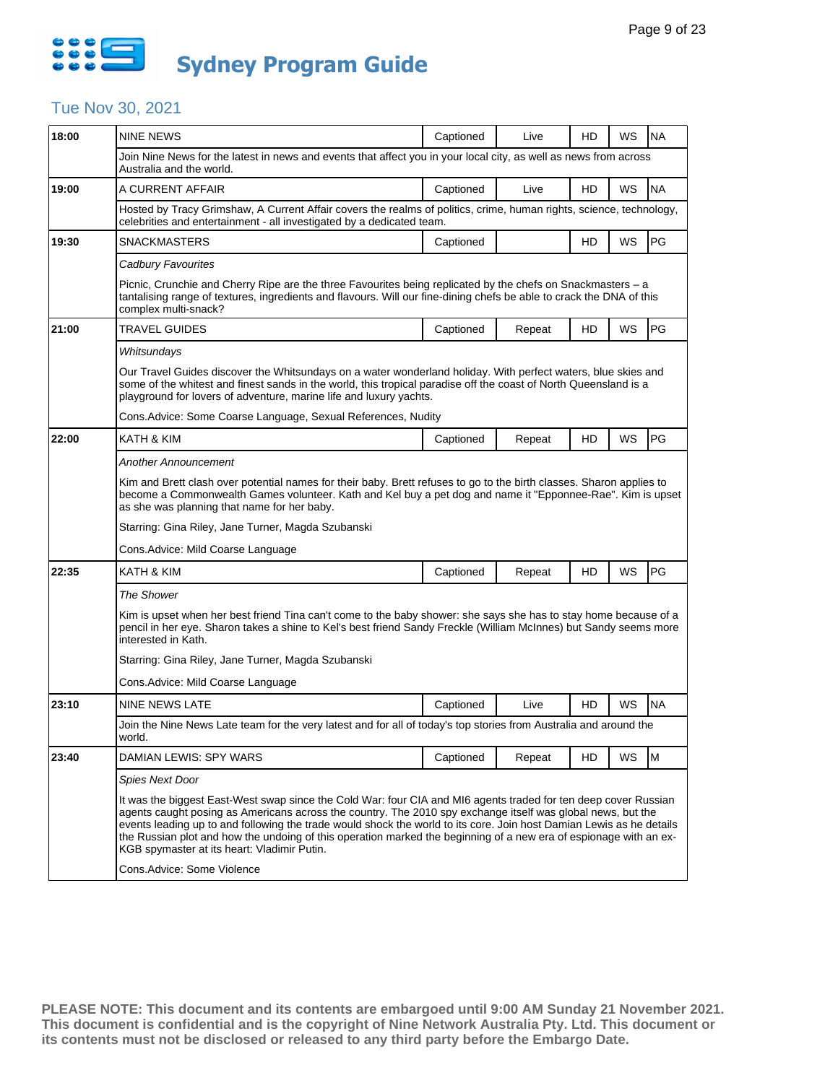

### Tue Nov 30, 2021

| 18:00 | <b>NINE NEWS</b>                                                                                                                                                                                                                                                                                                                                                                                                                                                                                                           | Captioned                                                                                                                                                                                    | Live   | HD | WS        | <b>NA</b> |  |  |  |  |  |
|-------|----------------------------------------------------------------------------------------------------------------------------------------------------------------------------------------------------------------------------------------------------------------------------------------------------------------------------------------------------------------------------------------------------------------------------------------------------------------------------------------------------------------------------|----------------------------------------------------------------------------------------------------------------------------------------------------------------------------------------------|--------|----|-----------|-----------|--|--|--|--|--|
|       | Join Nine News for the latest in news and events that affect you in your local city, as well as news from across<br>Australia and the world.                                                                                                                                                                                                                                                                                                                                                                               |                                                                                                                                                                                              |        |    |           |           |  |  |  |  |  |
| 19:00 | A CURRENT AFFAIR                                                                                                                                                                                                                                                                                                                                                                                                                                                                                                           | Captioned                                                                                                                                                                                    | Live   | HD | WS        | <b>NA</b> |  |  |  |  |  |
|       |                                                                                                                                                                                                                                                                                                                                                                                                                                                                                                                            | Hosted by Tracy Grimshaw, A Current Affair covers the realms of politics, crime, human rights, science, technology,<br>celebrities and entertainment - all investigated by a dedicated team. |        |    |           |           |  |  |  |  |  |
| 19:30 | SNACKMASTERS                                                                                                                                                                                                                                                                                                                                                                                                                                                                                                               | Captioned                                                                                                                                                                                    |        | HD | WS        | <b>PG</b> |  |  |  |  |  |
|       | Cadbury Favourites                                                                                                                                                                                                                                                                                                                                                                                                                                                                                                         |                                                                                                                                                                                              |        |    |           |           |  |  |  |  |  |
|       | Picnic, Crunchie and Cherry Ripe are the three Favourites being replicated by the chefs on Snackmasters – a<br>tantalising range of textures, ingredients and flavours. Will our fine-dining chefs be able to crack the DNA of this<br>complex multi-snack?                                                                                                                                                                                                                                                                |                                                                                                                                                                                              |        |    |           |           |  |  |  |  |  |
| 21:00 | TRAVEL GUIDES                                                                                                                                                                                                                                                                                                                                                                                                                                                                                                              | Captioned                                                                                                                                                                                    | Repeat | HD | WS        | PG        |  |  |  |  |  |
|       | Whitsundays                                                                                                                                                                                                                                                                                                                                                                                                                                                                                                                |                                                                                                                                                                                              |        |    |           |           |  |  |  |  |  |
|       | Our Travel Guides discover the Whitsundays on a water wonderland holiday. With perfect waters, blue skies and<br>some of the whitest and finest sands in the world, this tropical paradise off the coast of North Queensland is a<br>playground for lovers of adventure, marine life and luxury yachts.                                                                                                                                                                                                                    |                                                                                                                                                                                              |        |    |           |           |  |  |  |  |  |
|       | Cons.Advice: Some Coarse Language, Sexual References, Nudity                                                                                                                                                                                                                                                                                                                                                                                                                                                               |                                                                                                                                                                                              |        |    |           |           |  |  |  |  |  |
| 22:00 | KATH & KIM                                                                                                                                                                                                                                                                                                                                                                                                                                                                                                                 | Captioned                                                                                                                                                                                    | Repeat | HD | WS        | PG        |  |  |  |  |  |
|       | Another Announcement                                                                                                                                                                                                                                                                                                                                                                                                                                                                                                       |                                                                                                                                                                                              |        |    |           |           |  |  |  |  |  |
|       | Kim and Brett clash over potential names for their baby. Brett refuses to go to the birth classes. Sharon applies to<br>become a Commonwealth Games volunteer. Kath and Kel buy a pet dog and name it "Epponnee-Rae". Kim is upset<br>as she was planning that name for her baby.                                                                                                                                                                                                                                          |                                                                                                                                                                                              |        |    |           |           |  |  |  |  |  |
|       | Starring: Gina Riley, Jane Turner, Magda Szubanski                                                                                                                                                                                                                                                                                                                                                                                                                                                                         |                                                                                                                                                                                              |        |    |           |           |  |  |  |  |  |
|       | Cons.Advice: Mild Coarse Language                                                                                                                                                                                                                                                                                                                                                                                                                                                                                          |                                                                                                                                                                                              |        |    |           |           |  |  |  |  |  |
| 22:35 | KATH & KIM                                                                                                                                                                                                                                                                                                                                                                                                                                                                                                                 | Captioned                                                                                                                                                                                    | Repeat | HD | <b>WS</b> | PG        |  |  |  |  |  |
|       | The Shower                                                                                                                                                                                                                                                                                                                                                                                                                                                                                                                 |                                                                                                                                                                                              |        |    |           |           |  |  |  |  |  |
|       | Kim is upset when her best friend Tina can't come to the baby shower: she says she has to stay home because of a<br>pencil in her eye. Sharon takes a shine to Kel's best friend Sandy Freckle (William McInnes) but Sandy seems more<br>interested in Kath.                                                                                                                                                                                                                                                               |                                                                                                                                                                                              |        |    |           |           |  |  |  |  |  |
|       | Starring: Gina Riley, Jane Turner, Magda Szubanski                                                                                                                                                                                                                                                                                                                                                                                                                                                                         |                                                                                                                                                                                              |        |    |           |           |  |  |  |  |  |
|       | Cons.Advice: Mild Coarse Language                                                                                                                                                                                                                                                                                                                                                                                                                                                                                          |                                                                                                                                                                                              |        |    |           |           |  |  |  |  |  |
| 23:10 | NINE NEWS LATE                                                                                                                                                                                                                                                                                                                                                                                                                                                                                                             | Captioned                                                                                                                                                                                    | Live   | HD | WS        | <b>NA</b> |  |  |  |  |  |
|       | Join the Nine News Late team for the very latest and for all of today's top stories from Australia and around the<br>world.                                                                                                                                                                                                                                                                                                                                                                                                |                                                                                                                                                                                              |        |    |           |           |  |  |  |  |  |
| 23:40 | DAMIAN LEWIS: SPY WARS                                                                                                                                                                                                                                                                                                                                                                                                                                                                                                     | Captioned                                                                                                                                                                                    | Repeat | HD | WS        | M         |  |  |  |  |  |
|       | Spies Next Door                                                                                                                                                                                                                                                                                                                                                                                                                                                                                                            |                                                                                                                                                                                              |        |    |           |           |  |  |  |  |  |
|       | It was the biggest East-West swap since the Cold War: four CIA and MI6 agents traded for ten deep cover Russian<br>agents caught posing as Americans across the country. The 2010 spy exchange itself was global news, but the<br>events leading up to and following the trade would shock the world to its core. Join host Damian Lewis as he details<br>the Russian plot and how the undoing of this operation marked the beginning of a new era of espionage with an ex-<br>KGB spymaster at its heart: Vladimir Putin. |                                                                                                                                                                                              |        |    |           |           |  |  |  |  |  |
|       | Cons.Advice: Some Violence                                                                                                                                                                                                                                                                                                                                                                                                                                                                                                 |                                                                                                                                                                                              |        |    |           |           |  |  |  |  |  |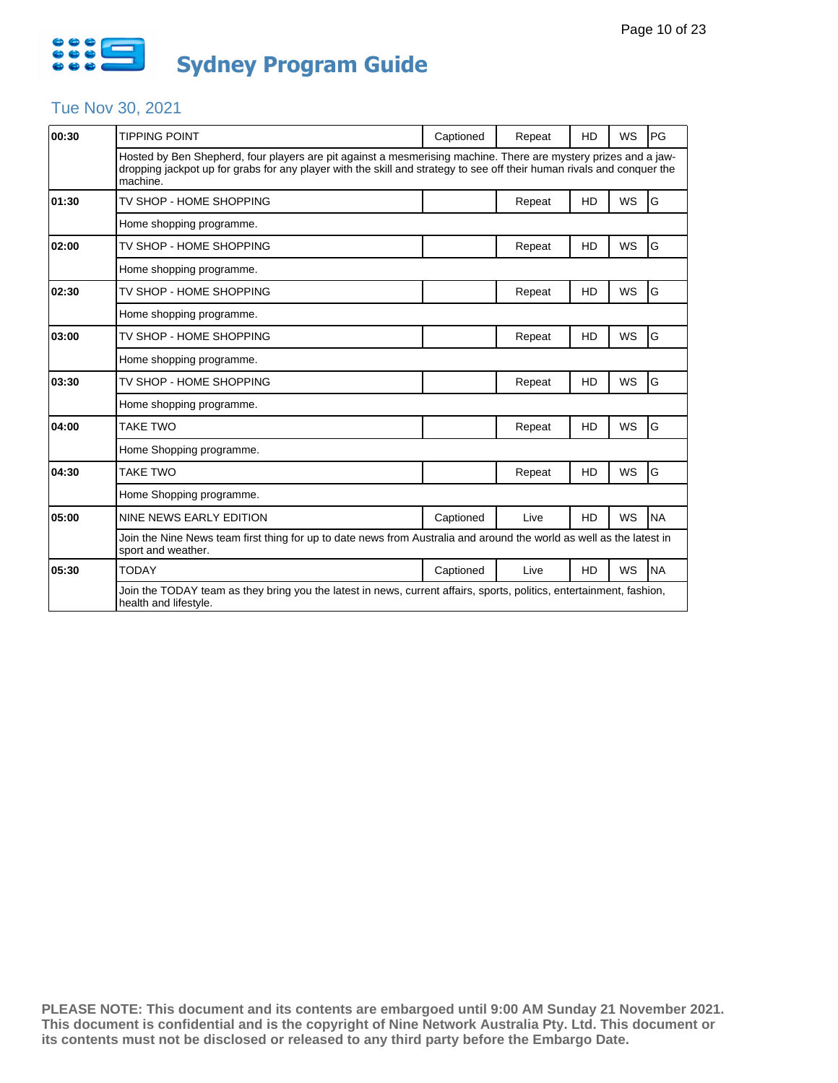

## Tue Nov 30, 2021

| 00:30 | <b>TIPPING POINT</b>                                                                                                                                                                                                                                  | Captioned | Repeat | HD        | WS        | PG        |  |  |
|-------|-------------------------------------------------------------------------------------------------------------------------------------------------------------------------------------------------------------------------------------------------------|-----------|--------|-----------|-----------|-----------|--|--|
|       | Hosted by Ben Shepherd, four players are pit against a mesmerising machine. There are mystery prizes and a jaw-<br>dropping jackpot up for grabs for any player with the skill and strategy to see off their human rivals and conguer the<br>machine. |           |        |           |           |           |  |  |
| 01:30 | TV SHOP - HOME SHOPPING                                                                                                                                                                                                                               |           | Repeat | HD        | WS        | G         |  |  |
|       | Home shopping programme.                                                                                                                                                                                                                              |           |        |           |           |           |  |  |
| 02:00 | TV SHOP - HOME SHOPPING                                                                                                                                                                                                                               |           | Repeat | HD        | <b>WS</b> | G         |  |  |
|       | Home shopping programme.                                                                                                                                                                                                                              |           |        |           |           |           |  |  |
| 02:30 | TV SHOP - HOME SHOPPING                                                                                                                                                                                                                               |           | Repeat | HD        | <b>WS</b> | G         |  |  |
|       | Home shopping programme.                                                                                                                                                                                                                              |           |        |           |           |           |  |  |
| 03:00 | TV SHOP - HOME SHOPPING                                                                                                                                                                                                                               |           | Repeat | HD        | <b>WS</b> | G         |  |  |
|       | Home shopping programme.                                                                                                                                                                                                                              |           |        |           |           |           |  |  |
| 03:30 | TV SHOP - HOME SHOPPING                                                                                                                                                                                                                               |           | Repeat | HD        | <b>WS</b> | G         |  |  |
|       | Home shopping programme.                                                                                                                                                                                                                              |           |        |           |           |           |  |  |
| 04:00 | <b>TAKE TWO</b>                                                                                                                                                                                                                                       |           | Repeat | HD        | WS        | G         |  |  |
|       | Home Shopping programme.                                                                                                                                                                                                                              |           |        |           |           |           |  |  |
| 04:30 | <b>TAKE TWO</b>                                                                                                                                                                                                                                       |           | Repeat | HD        | <b>WS</b> | G         |  |  |
|       | Home Shopping programme.                                                                                                                                                                                                                              |           |        |           |           |           |  |  |
| 05:00 | NINE NEWS EARLY EDITION                                                                                                                                                                                                                               | Captioned | Live   | <b>HD</b> | WS        | <b>NA</b> |  |  |
|       | Join the Nine News team first thing for up to date news from Australia and around the world as well as the latest in<br>sport and weather.                                                                                                            |           |        |           |           |           |  |  |
| 05:30 | <b>TODAY</b>                                                                                                                                                                                                                                          | Captioned | Live   | <b>HD</b> | WS        | <b>NA</b> |  |  |
|       | Join the TODAY team as they bring you the latest in news, current affairs, sports, politics, entertainment, fashion,<br>health and lifestyle.                                                                                                         |           |        |           |           |           |  |  |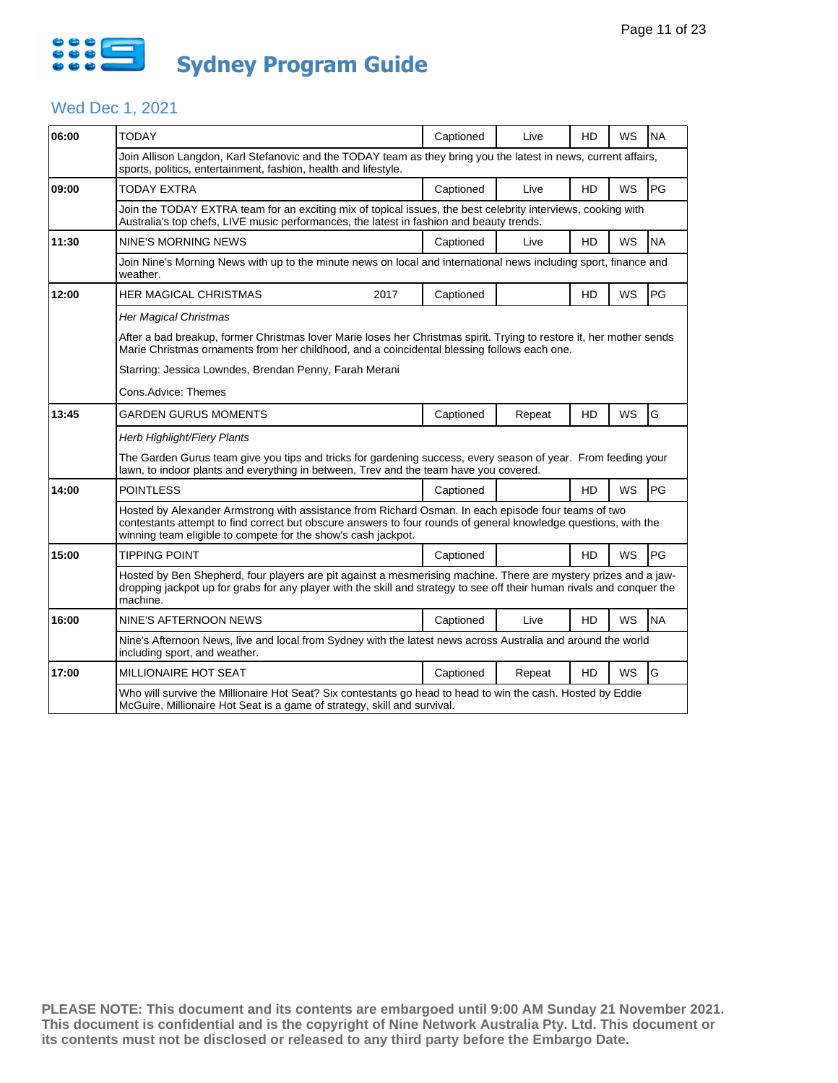

## Wed Dec 1, 2021

| 06:00 | <b>TODAY</b>                                                                                                                                                                                                                                                                            | Captioned | Live   | HD        | WS        | <b>NA</b> |  |  |  |
|-------|-----------------------------------------------------------------------------------------------------------------------------------------------------------------------------------------------------------------------------------------------------------------------------------------|-----------|--------|-----------|-----------|-----------|--|--|--|
|       | Join Allison Langdon, Karl Stefanovic and the TODAY team as they bring you the latest in news, current affairs,<br>sports, politics, entertainment, fashion, health and lifestyle.                                                                                                      |           |        |           |           |           |  |  |  |
| 09:00 | TODAY EXTRA                                                                                                                                                                                                                                                                             | Captioned | Live   | HD        | WS        | PG        |  |  |  |
|       | Join the TODAY EXTRA team for an exciting mix of topical issues, the best celebrity interviews, cooking with<br>Australia's top chefs, LIVE music performances, the latest in fashion and beauty trends.                                                                                |           |        |           |           |           |  |  |  |
| 11:30 | <b>NINE'S MORNING NEWS</b>                                                                                                                                                                                                                                                              | Captioned | Live   | HD        | WS        | <b>NA</b> |  |  |  |
|       | Join Nine's Morning News with up to the minute news on local and international news including sport, finance and<br>weather.                                                                                                                                                            |           |        |           |           |           |  |  |  |
| 12:00 | <b>HER MAGICAL CHRISTMAS</b><br>2017                                                                                                                                                                                                                                                    | Captioned |        | HD        | <b>WS</b> | PG        |  |  |  |
|       | <b>Her Magical Christmas</b>                                                                                                                                                                                                                                                            |           |        |           |           |           |  |  |  |
|       | After a bad breakup, former Christmas lover Marie loses her Christmas spirit. Trying to restore it, her mother sends<br>Marie Christmas ornaments from her childhood, and a coincidental blessing follows each one.                                                                     |           |        |           |           |           |  |  |  |
|       | Starring: Jessica Lowndes, Brendan Penny, Farah Merani                                                                                                                                                                                                                                  |           |        |           |           |           |  |  |  |
|       | Cons.Advice: Themes                                                                                                                                                                                                                                                                     |           |        |           |           |           |  |  |  |
| 13:45 | GARDEN GURUS MOMENTS                                                                                                                                                                                                                                                                    | Captioned | Repeat | HD        | WS        | G         |  |  |  |
|       | Herb Highlight/Fiery Plants                                                                                                                                                                                                                                                             |           |        |           |           |           |  |  |  |
|       | The Garden Gurus team give you tips and tricks for gardening success, every season of year. From feeding your<br>lawn, to indoor plants and everything in between. Trey and the team have you covered.                                                                                  |           |        |           |           |           |  |  |  |
| 14:00 | <b>POINTLESS</b>                                                                                                                                                                                                                                                                        | Captioned |        | HD        | WS        | PG        |  |  |  |
|       | Hosted by Alexander Armstrong with assistance from Richard Osman. In each episode four teams of two<br>contestants attempt to find correct but obscure answers to four rounds of general knowledge questions, with the<br>winning team eligible to compete for the show's cash jackpot. |           |        |           |           |           |  |  |  |
| 15:00 | <b>TIPPING POINT</b>                                                                                                                                                                                                                                                                    | Captioned |        | HD        | WS        | PG        |  |  |  |
|       | Hosted by Ben Shepherd, four players are pit against a mesmerising machine. There are mystery prizes and a jaw-<br>dropping jackpot up for grabs for any player with the skill and strategy to see off their human rivals and conquer the<br>machine.                                   |           |        |           |           |           |  |  |  |
| 16:00 | NINE'S AFTERNOON NEWS                                                                                                                                                                                                                                                                   | Captioned | Live   | HD        | WS        | <b>NA</b> |  |  |  |
|       | Nine's Afternoon News, live and local from Sydney with the latest news across Australia and around the world<br>including sport, and weather.                                                                                                                                           |           |        |           |           |           |  |  |  |
| 17:00 | MILLIONAIRE HOT SEAT                                                                                                                                                                                                                                                                    | Captioned | Repeat | <b>HD</b> | <b>WS</b> | G         |  |  |  |
|       | Who will survive the Millionaire Hot Seat? Six contestants go head to head to win the cash. Hosted by Eddie<br>McGuire, Millionaire Hot Seat is a game of strategy, skill and survival.                                                                                                 |           |        |           |           |           |  |  |  |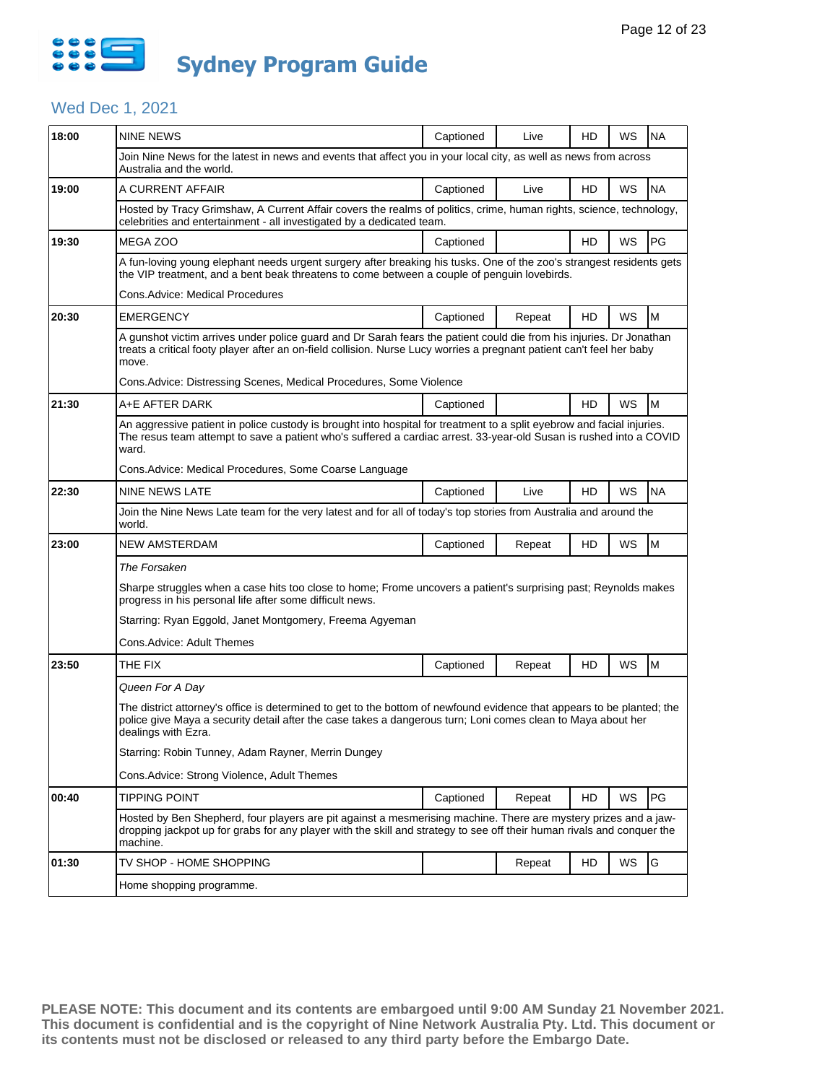

## Wed Dec 1, 2021

| 18:00 | <b>NINE NEWS</b>                                                                                                                                                                                                                                              | Captioned                                                                                                         | Live   | HD | WS | <b>NA</b> |  |  |  |
|-------|---------------------------------------------------------------------------------------------------------------------------------------------------------------------------------------------------------------------------------------------------------------|-------------------------------------------------------------------------------------------------------------------|--------|----|----|-----------|--|--|--|
|       | Join Nine News for the latest in news and events that affect you in your local city, as well as news from across<br>Australia and the world.                                                                                                                  |                                                                                                                   |        |    |    |           |  |  |  |
| 19:00 | A CURRENT AFFAIR                                                                                                                                                                                                                                              | Captioned                                                                                                         | Live   | HD | WS | <b>NA</b> |  |  |  |
|       | Hosted by Tracy Grimshaw, A Current Affair covers the realms of politics, crime, human rights, science, technology,<br>celebrities and entertainment - all investigated by a dedicated team.                                                                  |                                                                                                                   |        |    |    |           |  |  |  |
| 19:30 | MEGA ZOO                                                                                                                                                                                                                                                      | Captioned                                                                                                         |        | HD | WS | PG        |  |  |  |
|       | A fun-loving young elephant needs urgent surgery after breaking his tusks. One of the zoo's strangest residents gets<br>the VIP treatment, and a bent beak threatens to come between a couple of penguin lovebirds.                                           |                                                                                                                   |        |    |    |           |  |  |  |
|       | <b>Cons.Advice: Medical Procedures</b>                                                                                                                                                                                                                        |                                                                                                                   |        |    |    |           |  |  |  |
| 20:30 | <b>EMERGENCY</b>                                                                                                                                                                                                                                              | Captioned                                                                                                         | Repeat | HD | WS | M         |  |  |  |
|       | A gunshot victim arrives under police guard and Dr Sarah fears the patient could die from his injuries. Dr Jonathan<br>treats a critical footy player after an on-field collision. Nurse Lucy worries a pregnant patient can't feel her baby<br>move.         |                                                                                                                   |        |    |    |           |  |  |  |
|       | Cons. Advice: Distressing Scenes, Medical Procedures, Some Violence                                                                                                                                                                                           |                                                                                                                   |        |    |    |           |  |  |  |
| 21:30 | A+E AFTER DARK                                                                                                                                                                                                                                                | Captioned                                                                                                         |        | HD | WS | M         |  |  |  |
|       | An aggressive patient in police custody is brought into hospital for treatment to a split eyebrow and facial injuries.<br>The resus team attempt to save a patient who's suffered a cardiac arrest. 33-year-old Susan is rushed into a COVID<br>ward.         |                                                                                                                   |        |    |    |           |  |  |  |
|       | Cons. Advice: Medical Procedures, Some Coarse Language                                                                                                                                                                                                        |                                                                                                                   |        |    |    |           |  |  |  |
| 22:30 | NINE NEWS LATE                                                                                                                                                                                                                                                | Captioned                                                                                                         | Live   | HD | WS | <b>NA</b> |  |  |  |
|       | world.                                                                                                                                                                                                                                                        | Join the Nine News Late team for the very latest and for all of today's top stories from Australia and around the |        |    |    |           |  |  |  |
| 23:00 | <b>NEW AMSTERDAM</b>                                                                                                                                                                                                                                          | Captioned                                                                                                         | Repeat | HD | WS | M         |  |  |  |
|       | The Forsaken                                                                                                                                                                                                                                                  |                                                                                                                   |        |    |    |           |  |  |  |
|       | Sharpe struggles when a case hits too close to home; Frome uncovers a patient's surprising past; Reynolds makes<br>progress in his personal life after some difficult news.                                                                                   |                                                                                                                   |        |    |    |           |  |  |  |
|       | Starring: Ryan Eggold, Janet Montgomery, Freema Agyeman                                                                                                                                                                                                       |                                                                                                                   |        |    |    |           |  |  |  |
|       | Cons.Advice: Adult Themes                                                                                                                                                                                                                                     |                                                                                                                   |        |    |    |           |  |  |  |
| 23:50 | THE FIX                                                                                                                                                                                                                                                       | Captioned                                                                                                         | Repeat | HD | WS | M         |  |  |  |
|       | Queen For A Day                                                                                                                                                                                                                                               |                                                                                                                   |        |    |    |           |  |  |  |
|       | The district attorney's office is determined to get to the bottom of newfound evidence that appears to be planted; the<br>police give Maya a security detail after the case takes a dangerous turn; Loni comes clean to Maya about her<br>dealings with Ezra. |                                                                                                                   |        |    |    |           |  |  |  |
|       | Starring: Robin Tunney, Adam Rayner, Merrin Dungey                                                                                                                                                                                                            |                                                                                                                   |        |    |    |           |  |  |  |
|       | Cons.Advice: Strong Violence, Adult Themes                                                                                                                                                                                                                    |                                                                                                                   |        |    |    |           |  |  |  |
| 00:40 | TIPPING POINT                                                                                                                                                                                                                                                 | Captioned                                                                                                         | Repeat | HD | WS | PG        |  |  |  |
|       | Hosted by Ben Shepherd, four players are pit against a mesmerising machine. There are mystery prizes and a jaw-<br>dropping jackpot up for grabs for any player with the skill and strategy to see off their human rivals and conquer the<br>machine.         |                                                                                                                   |        |    |    |           |  |  |  |
| 01:30 | TV SHOP - HOME SHOPPING                                                                                                                                                                                                                                       |                                                                                                                   | Repeat | HD | WS | G         |  |  |  |
|       | Home shopping programme.                                                                                                                                                                                                                                      |                                                                                                                   |        |    |    |           |  |  |  |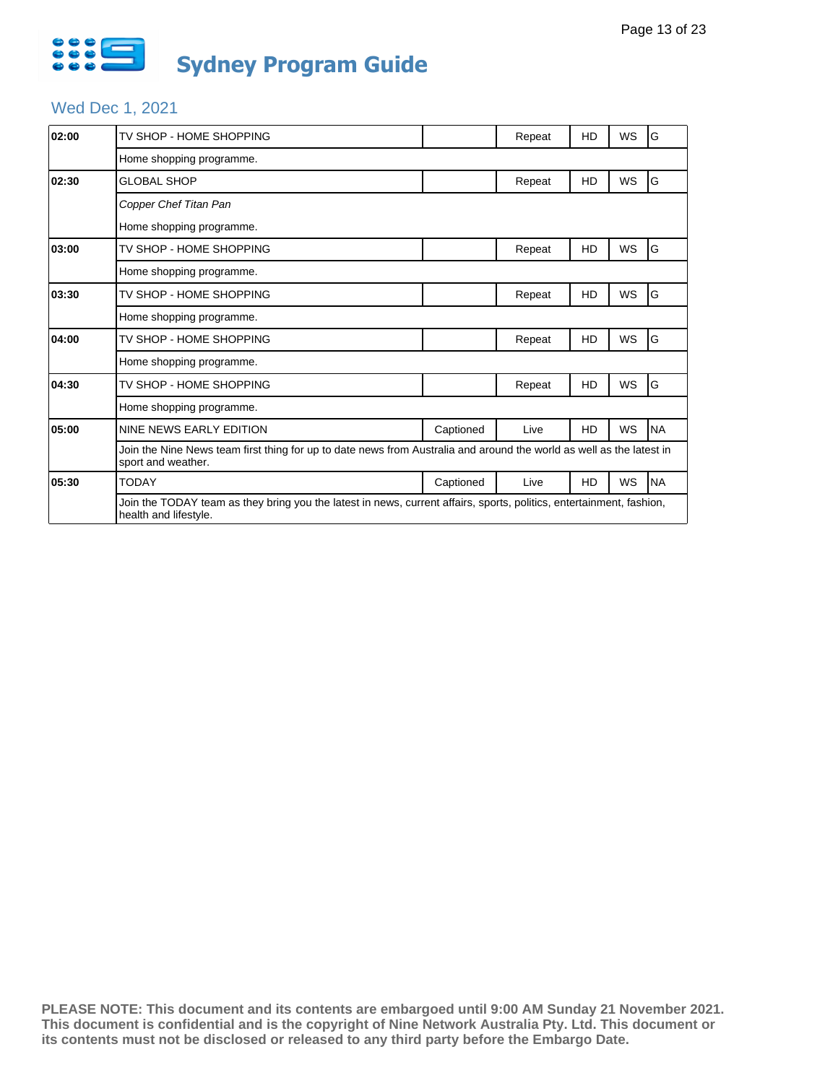

## Wed Dec 1, 2021

| 02:00 | TV SHOP - HOME SHOPPING                                                                                                                       |           | Repeat | HD | WS        | ١G        |  |  |
|-------|-----------------------------------------------------------------------------------------------------------------------------------------------|-----------|--------|----|-----------|-----------|--|--|
|       | Home shopping programme.                                                                                                                      |           |        |    |           |           |  |  |
| 02:30 | <b>GLOBAL SHOP</b>                                                                                                                            |           | Repeat | HD | WS        | G         |  |  |
|       | Copper Chef Titan Pan                                                                                                                         |           |        |    |           |           |  |  |
|       | Home shopping programme.                                                                                                                      |           |        |    |           |           |  |  |
| 03:00 | TV SHOP - HOME SHOPPING                                                                                                                       |           | Repeat | HD | <b>WS</b> | G         |  |  |
|       | Home shopping programme.                                                                                                                      |           |        |    |           |           |  |  |
| 03:30 | TV SHOP - HOME SHOPPING                                                                                                                       |           | Repeat | HD | WS        | G         |  |  |
|       | Home shopping programme.                                                                                                                      |           |        |    |           |           |  |  |
| 04:00 | TV SHOP - HOME SHOPPING                                                                                                                       |           | Repeat | HD | WS        | G         |  |  |
|       | Home shopping programme.                                                                                                                      |           |        |    |           |           |  |  |
| 04:30 | TV SHOP - HOME SHOPPING                                                                                                                       |           | Repeat | HD | WS        | G         |  |  |
|       | Home shopping programme.                                                                                                                      |           |        |    |           |           |  |  |
| 05:00 | NINE NEWS EARLY EDITION                                                                                                                       | Captioned | Live   | HD | WS        | <b>NA</b> |  |  |
|       | Join the Nine News team first thing for up to date news from Australia and around the world as well as the latest in<br>sport and weather.    |           |        |    |           | <b>NA</b> |  |  |
| 05:30 | <b>TODAY</b>                                                                                                                                  | Captioned | Live   | HD | WS        |           |  |  |
|       | Join the TODAY team as they bring you the latest in news, current affairs, sports, politics, entertainment, fashion,<br>health and lifestyle. |           |        |    |           |           |  |  |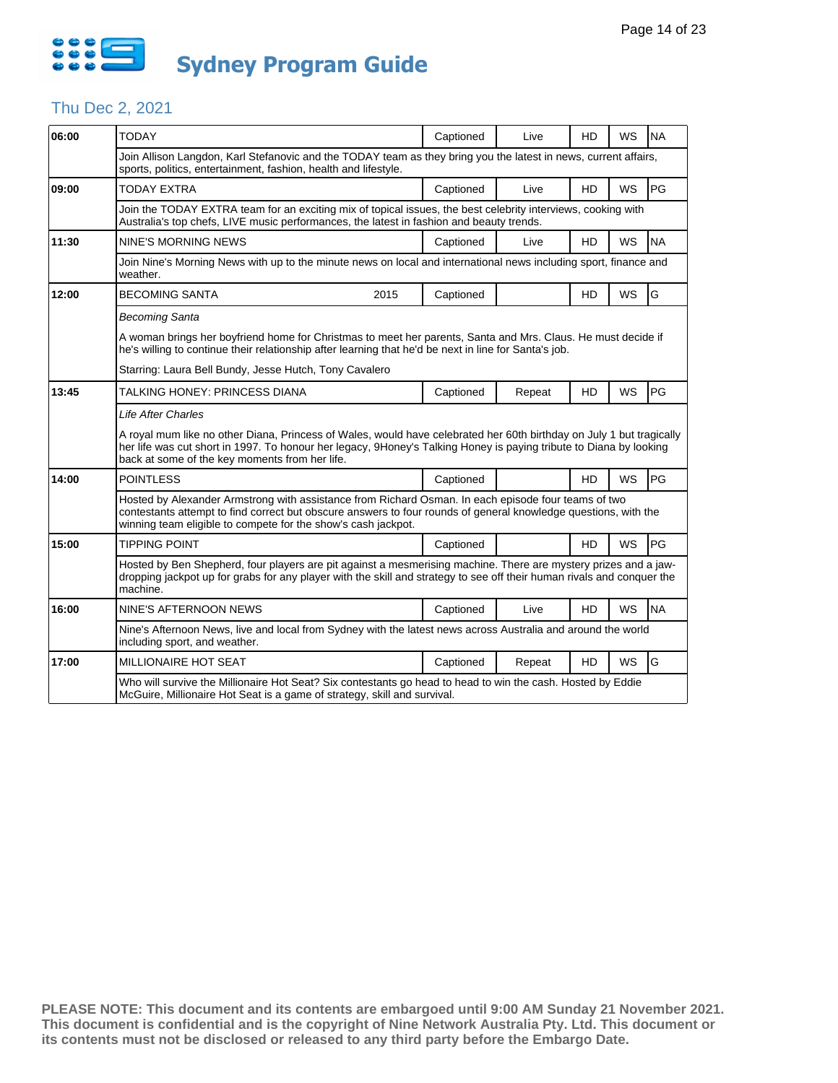

#### Thu Dec 2, 2021

| 06:00 | <b>TODAY</b>                                                                                                                                                                                                                                                                                 |      | Captioned | Live   | HD        | WS        | <b>NA</b> |  |  |  |  |  |
|-------|----------------------------------------------------------------------------------------------------------------------------------------------------------------------------------------------------------------------------------------------------------------------------------------------|------|-----------|--------|-----------|-----------|-----------|--|--|--|--|--|
|       | Join Allison Langdon, Karl Stefanovic and the TODAY team as they bring you the latest in news, current affairs,<br>sports, politics, entertainment, fashion, health and lifestyle.                                                                                                           |      |           |        |           |           |           |  |  |  |  |  |
| 09:00 | <b>TODAY EXTRA</b>                                                                                                                                                                                                                                                                           |      | Captioned | Live   | <b>HD</b> | WS        | PG        |  |  |  |  |  |
|       | Join the TODAY EXTRA team for an exciting mix of topical issues, the best celebrity interviews, cooking with<br>Australia's top chefs, LIVE music performances, the latest in fashion and beauty trends.                                                                                     |      |           |        |           |           |           |  |  |  |  |  |
| 11:30 | <b>NINE'S MORNING NEWS</b>                                                                                                                                                                                                                                                                   |      | Captioned | Live   | HD        | <b>WS</b> | <b>NA</b> |  |  |  |  |  |
|       | Join Nine's Morning News with up to the minute news on local and international news including sport, finance and<br>weather.                                                                                                                                                                 |      |           |        |           |           |           |  |  |  |  |  |
| 12:00 | <b>BECOMING SANTA</b>                                                                                                                                                                                                                                                                        | 2015 | Captioned |        | HD        | WS        | G         |  |  |  |  |  |
|       | <b>Becoming Santa</b>                                                                                                                                                                                                                                                                        |      |           |        |           |           |           |  |  |  |  |  |
|       | A woman brings her boyfriend home for Christmas to meet her parents, Santa and Mrs. Claus. He must decide if<br>he's willing to continue their relationship after learning that he'd be next in line for Santa's job.                                                                        |      |           |        |           |           |           |  |  |  |  |  |
|       | Starring: Laura Bell Bundy, Jesse Hutch, Tony Cavalero                                                                                                                                                                                                                                       |      |           |        |           |           |           |  |  |  |  |  |
| 13:45 | TALKING HONEY: PRINCESS DIANA                                                                                                                                                                                                                                                                |      | Captioned | Repeat | <b>HD</b> | WS        | PG        |  |  |  |  |  |
|       | <b>Life After Charles</b>                                                                                                                                                                                                                                                                    |      |           |        |           |           |           |  |  |  |  |  |
|       | A royal mum like no other Diana, Princess of Wales, would have celebrated her 60th birthday on July 1 but tragically<br>her life was cut short in 1997. To honour her legacy, 9Honey's Talking Honey is paying tribute to Diana by looking<br>back at some of the key moments from her life. |      |           |        |           |           |           |  |  |  |  |  |
| 14:00 | <b>POINTLESS</b>                                                                                                                                                                                                                                                                             |      | Captioned |        | <b>HD</b> | WS        | PG        |  |  |  |  |  |
|       | Hosted by Alexander Armstrong with assistance from Richard Osman. In each episode four teams of two<br>contestants attempt to find correct but obscure answers to four rounds of general knowledge questions, with the<br>winning team eligible to compete for the show's cash jackpot.      |      |           |        |           |           |           |  |  |  |  |  |
| 15:00 | <b>TIPPING POINT</b>                                                                                                                                                                                                                                                                         |      | Captioned |        | <b>HD</b> | WS        | PG        |  |  |  |  |  |
|       | Hosted by Ben Shepherd, four players are pit against a mesmerising machine. There are mystery prizes and a jaw-<br>dropping jackpot up for grabs for any player with the skill and strategy to see off their human rivals and conquer the<br>machine.                                        |      |           |        |           |           |           |  |  |  |  |  |
| 16:00 | NINE'S AFTERNOON NEWS                                                                                                                                                                                                                                                                        |      | Captioned | Live   | <b>HD</b> | <b>WS</b> | <b>NA</b> |  |  |  |  |  |
|       | Nine's Afternoon News, live and local from Sydney with the latest news across Australia and around the world<br>including sport, and weather.                                                                                                                                                |      |           |        |           |           |           |  |  |  |  |  |
| 17:00 | <b>MILLIONAIRE HOT SEAT</b>                                                                                                                                                                                                                                                                  |      | Captioned | Repeat | <b>HD</b> | <b>WS</b> | G         |  |  |  |  |  |
|       | Who will survive the Millionaire Hot Seat? Six contestants go head to head to win the cash. Hosted by Eddie<br>McGuire, Millionaire Hot Seat is a game of strategy, skill and survival.                                                                                                      |      |           |        |           |           |           |  |  |  |  |  |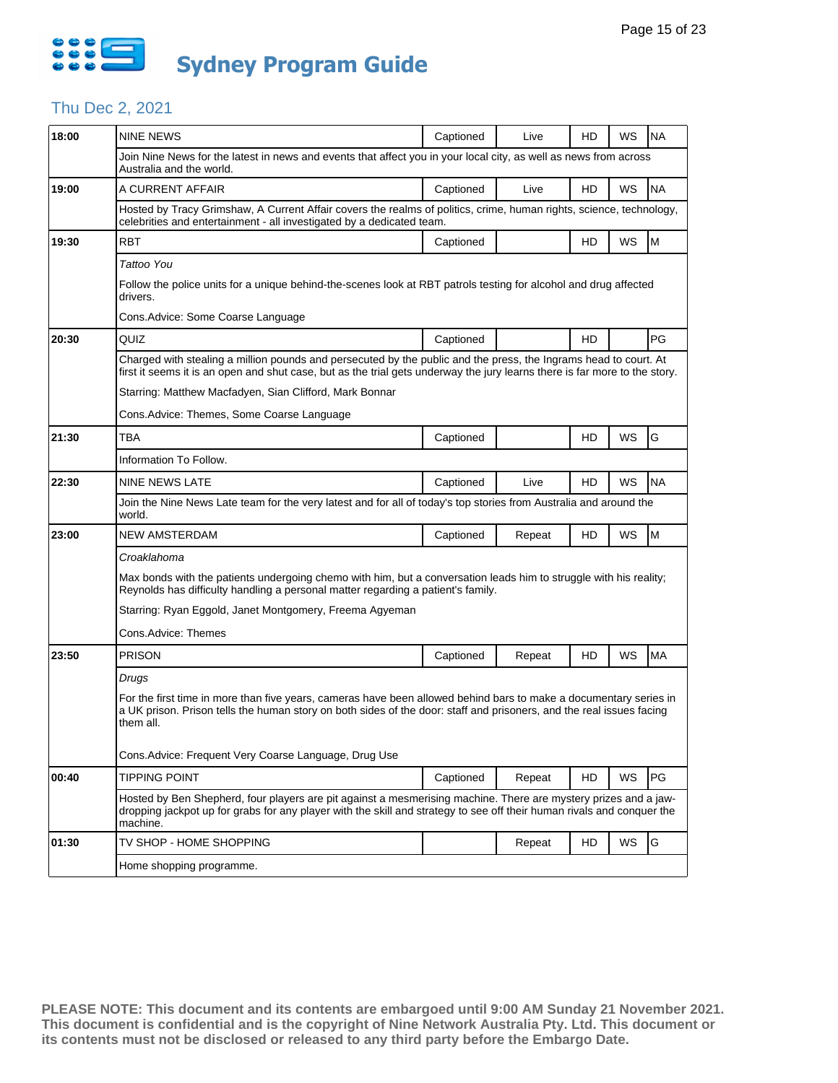

## Thu Dec 2, 2021

| 18:00 | NINE NEWS                                                                                                                                                                                                                                                                                                                                              | Captioned | Live   | HD | WS        | <b>NA</b> |  |  |  |
|-------|--------------------------------------------------------------------------------------------------------------------------------------------------------------------------------------------------------------------------------------------------------------------------------------------------------------------------------------------------------|-----------|--------|----|-----------|-----------|--|--|--|
|       | Join Nine News for the latest in news and events that affect you in your local city, as well as news from across<br>Australia and the world.                                                                                                                                                                                                           |           |        |    |           |           |  |  |  |
| 19:00 | A CURRENT AFFAIR                                                                                                                                                                                                                                                                                                                                       | Captioned | Live   | HD | WS        | <b>NA</b> |  |  |  |
|       | Hosted by Tracy Grimshaw, A Current Affair covers the realms of politics, crime, human rights, science, technology,<br>celebrities and entertainment - all investigated by a dedicated team.                                                                                                                                                           |           |        |    |           |           |  |  |  |
| 19:30 | <b>RBT</b>                                                                                                                                                                                                                                                                                                                                             | Captioned |        | HD | WS        | M         |  |  |  |
|       | Tattoo You<br>Follow the police units for a unique behind-the-scenes look at RBT patrols testing for alcohol and drug affected<br>drivers.<br>Cons.Advice: Some Coarse Language                                                                                                                                                                        |           |        |    |           |           |  |  |  |
| 20:30 | QUIZ                                                                                                                                                                                                                                                                                                                                                   | Captioned |        | HD |           | PG        |  |  |  |
|       | Charged with stealing a million pounds and persecuted by the public and the press, the Ingrams head to court. At<br>first it seems it is an open and shut case, but as the trial gets underway the jury learns there is far more to the story.<br>Starring: Matthew Macfadyen, Sian Clifford, Mark Bonnar<br>Cons.Advice: Themes, Some Coarse Language |           |        |    |           |           |  |  |  |
| 21:30 | TBA                                                                                                                                                                                                                                                                                                                                                    | Captioned |        | HD | WS        | G         |  |  |  |
|       | Information To Follow.                                                                                                                                                                                                                                                                                                                                 |           |        |    |           |           |  |  |  |
| 22:30 | <b>NINE NEWS LATE</b>                                                                                                                                                                                                                                                                                                                                  | Captioned | Live   | HD | WS        | <b>NA</b> |  |  |  |
|       | Join the Nine News Late team for the very latest and for all of today's top stories from Australia and around the<br>world.                                                                                                                                                                                                                            |           |        |    |           |           |  |  |  |
| 23:00 | NEW AMSTERDAM                                                                                                                                                                                                                                                                                                                                          | Captioned | Repeat | HD | WS        | M         |  |  |  |
|       | Croaklahoma                                                                                                                                                                                                                                                                                                                                            |           |        |    |           |           |  |  |  |
|       | Max bonds with the patients undergoing chemo with him, but a conversation leads him to struggle with his reality;<br>Reynolds has difficulty handling a personal matter regarding a patient's family.                                                                                                                                                  |           |        |    |           |           |  |  |  |
|       | Starring: Ryan Eggold, Janet Montgomery, Freema Agyeman                                                                                                                                                                                                                                                                                                |           |        |    |           |           |  |  |  |
|       | Cons.Advice: Themes                                                                                                                                                                                                                                                                                                                                    |           |        |    |           |           |  |  |  |
| 23:50 | <b>PRISON</b>                                                                                                                                                                                                                                                                                                                                          | Captioned | Repeat | HD | WS        | <b>MA</b> |  |  |  |
|       | <b>Drugs</b><br>For the first time in more than five years, cameras have been allowed behind bars to make a documentary series in<br>a UK prison. Prison tells the human story on both sides of the door: staff and prisoners, and the real issues facing<br>them all.<br>Cons. Advice: Frequent Very Coarse Language, Drug Use                        |           |        |    |           |           |  |  |  |
| 00:40 | <b>TIPPING POINT</b>                                                                                                                                                                                                                                                                                                                                   | Captioned | Repeat | HD | <b>WS</b> | PG        |  |  |  |
|       | Hosted by Ben Shepherd, four players are pit against a mesmerising machine. There are mystery prizes and a jaw-<br>dropping jackpot up for grabs for any player with the skill and strategy to see off their human rivals and conquer the<br>machine.                                                                                                  |           |        |    |           |           |  |  |  |
| 01:30 | TV SHOP - HOME SHOPPING                                                                                                                                                                                                                                                                                                                                |           | Repeat | HD | WS        | G         |  |  |  |
|       | Home shopping programme.                                                                                                                                                                                                                                                                                                                               |           |        |    |           |           |  |  |  |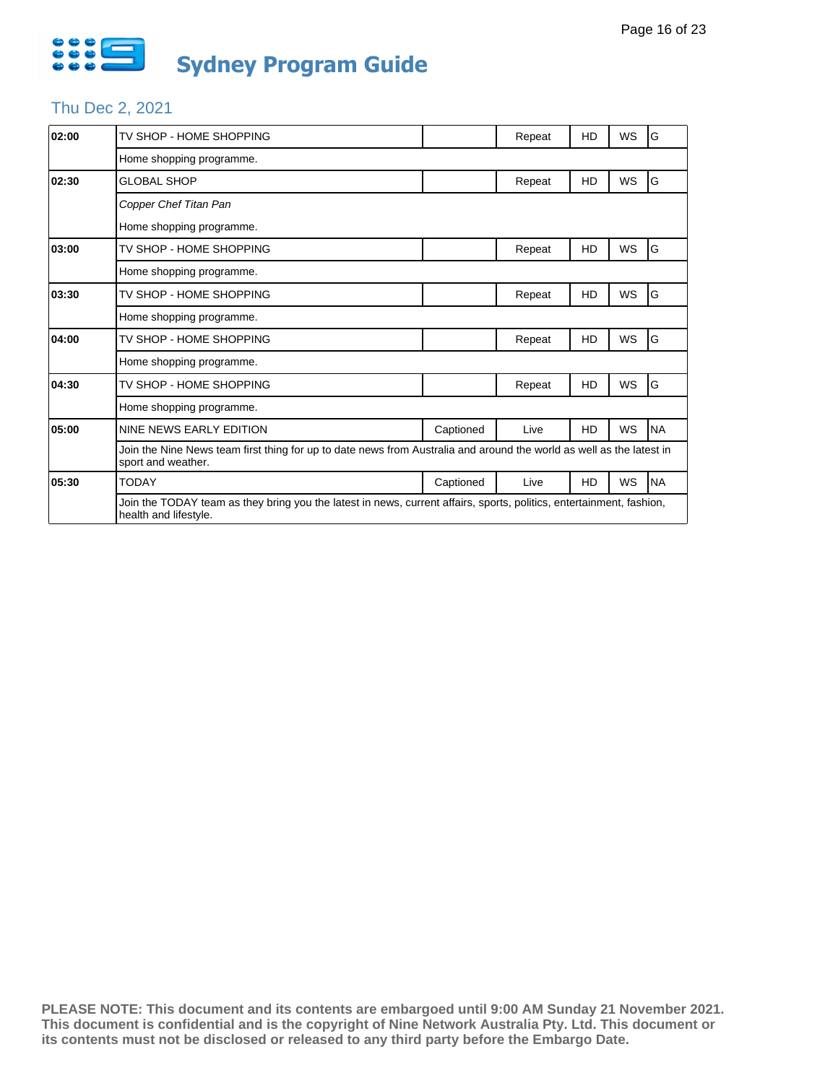

# Thu Dec 2, 2021

| 02:00 | TV SHOP - HOME SHOPPING                                                                                                                       |           | Repeat | HD | WS        | ١G        |  |  |
|-------|-----------------------------------------------------------------------------------------------------------------------------------------------|-----------|--------|----|-----------|-----------|--|--|
|       | Home shopping programme.                                                                                                                      |           |        |    |           |           |  |  |
| 02:30 | <b>GLOBAL SHOP</b>                                                                                                                            |           | Repeat | HD | WS        | G         |  |  |
|       | Copper Chef Titan Pan                                                                                                                         |           |        |    |           |           |  |  |
|       | Home shopping programme.                                                                                                                      |           |        |    |           |           |  |  |
| 03:00 | TV SHOP - HOME SHOPPING                                                                                                                       |           | Repeat | HD | <b>WS</b> | G         |  |  |
|       | Home shopping programme.                                                                                                                      |           |        |    |           |           |  |  |
| 03:30 | TV SHOP - HOME SHOPPING                                                                                                                       |           | Repeat | HD | WS        | G         |  |  |
|       | Home shopping programme.                                                                                                                      |           |        |    |           |           |  |  |
| 04:00 | TV SHOP - HOME SHOPPING                                                                                                                       |           | Repeat | HD | WS        | G         |  |  |
|       | Home shopping programme.                                                                                                                      |           |        |    |           |           |  |  |
| 04:30 | TV SHOP - HOME SHOPPING                                                                                                                       |           | Repeat | HD | WS        | G         |  |  |
|       | Home shopping programme.                                                                                                                      |           |        |    |           |           |  |  |
| 05:00 | NINE NEWS EARLY EDITION                                                                                                                       | Captioned | Live   | HD | WS        | <b>NA</b> |  |  |
|       | Join the Nine News team first thing for up to date news from Australia and around the world as well as the latest in<br>sport and weather.    |           |        |    |           | <b>NA</b> |  |  |
| 05:30 | <b>TODAY</b>                                                                                                                                  | Captioned | Live   | HD | WS        |           |  |  |
|       | Join the TODAY team as they bring you the latest in news, current affairs, sports, politics, entertainment, fashion,<br>health and lifestyle. |           |        |    |           |           |  |  |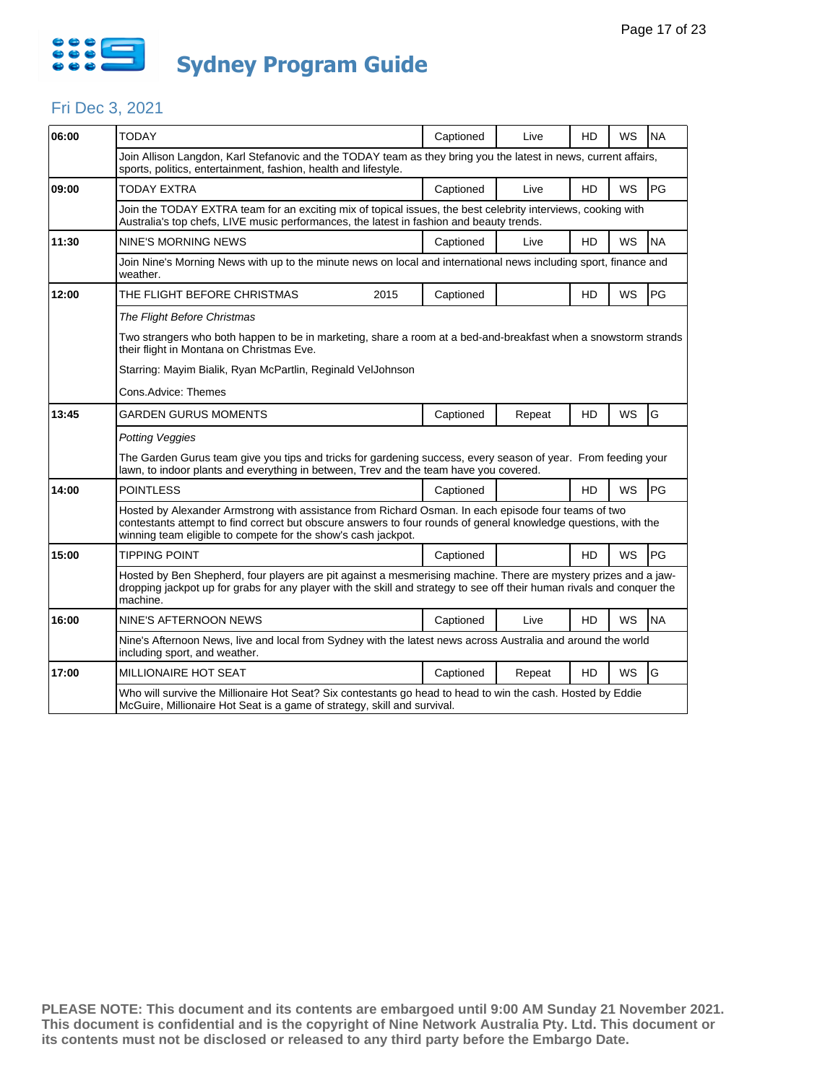

#### Fri Dec 3, 2021

| 06:00 | <b>TODAY</b>                                                                                                                                                                                                                                                                            |                                                                                                                                                                                                                                           | Captioned | Live   | HD        | WS        | <b>NA</b> |  |  |
|-------|-----------------------------------------------------------------------------------------------------------------------------------------------------------------------------------------------------------------------------------------------------------------------------------------|-------------------------------------------------------------------------------------------------------------------------------------------------------------------------------------------------------------------------------------------|-----------|--------|-----------|-----------|-----------|--|--|
|       | Join Allison Langdon, Karl Stefanovic and the TODAY team as they bring you the latest in news, current affairs,<br>sports, politics, entertainment, fashion, health and lifestyle.                                                                                                      |                                                                                                                                                                                                                                           |           |        |           |           |           |  |  |
| 09:00 | TODAY EXTRA                                                                                                                                                                                                                                                                             |                                                                                                                                                                                                                                           | Captioned | Live   | HD        | WS        | PG        |  |  |
|       | Join the TODAY EXTRA team for an exciting mix of topical issues, the best celebrity interviews, cooking with<br>Australia's top chefs, LIVE music performances, the latest in fashion and beauty trends.                                                                                |                                                                                                                                                                                                                                           |           |        |           |           |           |  |  |
| 11:30 | NINE'S MORNING NEWS                                                                                                                                                                                                                                                                     |                                                                                                                                                                                                                                           | Captioned | Live   | HD        | <b>WS</b> | <b>NA</b> |  |  |
|       | Join Nine's Morning News with up to the minute news on local and international news including sport, finance and<br>weather.                                                                                                                                                            |                                                                                                                                                                                                                                           |           |        |           |           |           |  |  |
| 12:00 | THE FLIGHT BEFORE CHRISTMAS                                                                                                                                                                                                                                                             | 2015                                                                                                                                                                                                                                      | Captioned |        | HD        | WS        | PG        |  |  |
|       | The Flight Before Christmas                                                                                                                                                                                                                                                             |                                                                                                                                                                                                                                           |           |        |           |           |           |  |  |
|       | Two strangers who both happen to be in marketing, share a room at a bed-and-breakfast when a snowstorm strands<br>their flight in Montana on Christmas Eve.                                                                                                                             |                                                                                                                                                                                                                                           |           |        |           |           |           |  |  |
|       | Starring: Mayim Bialik, Ryan McPartlin, Reginald VelJohnson                                                                                                                                                                                                                             |                                                                                                                                                                                                                                           |           |        |           |           |           |  |  |
|       | Cons.Advice: Themes                                                                                                                                                                                                                                                                     |                                                                                                                                                                                                                                           |           |        |           |           |           |  |  |
| 13:45 | GARDEN GURUS MOMENTS                                                                                                                                                                                                                                                                    |                                                                                                                                                                                                                                           | Captioned | Repeat | HD        | WS        | G         |  |  |
|       | Potting Veggies                                                                                                                                                                                                                                                                         |                                                                                                                                                                                                                                           |           |        |           |           |           |  |  |
|       | The Garden Gurus team give you tips and tricks for gardening success, every season of year. From feeding your<br>lawn, to indoor plants and everything in between, Trev and the team have you covered.                                                                                  |                                                                                                                                                                                                                                           |           |        |           |           |           |  |  |
| 14:00 | <b>POINTLESS</b>                                                                                                                                                                                                                                                                        |                                                                                                                                                                                                                                           | Captioned |        | <b>HD</b> | <b>WS</b> | PG        |  |  |
|       | Hosted by Alexander Armstrong with assistance from Richard Osman. In each episode four teams of two<br>contestants attempt to find correct but obscure answers to four rounds of general knowledge questions, with the<br>winning team eligible to compete for the show's cash jackpot. |                                                                                                                                                                                                                                           |           |        |           |           |           |  |  |
| 15:00 | <b>TIPPING POINT</b>                                                                                                                                                                                                                                                                    |                                                                                                                                                                                                                                           | Captioned |        | <b>HD</b> | WS        | PG        |  |  |
|       | machine.                                                                                                                                                                                                                                                                                | Hosted by Ben Shepherd, four players are pit against a mesmerising machine. There are mystery prizes and a jaw-<br>dropping jackpot up for grabs for any player with the skill and strategy to see off their human rivals and conquer the |           |        |           |           |           |  |  |
| 16:00 | NINE'S AFTERNOON NEWS                                                                                                                                                                                                                                                                   |                                                                                                                                                                                                                                           | Captioned | Live   | HD        | WS        | <b>NA</b> |  |  |
|       | Nine's Afternoon News, live and local from Sydney with the latest news across Australia and around the world<br>including sport, and weather.                                                                                                                                           |                                                                                                                                                                                                                                           |           |        |           |           |           |  |  |
| 17:00 | MILLIONAIRE HOT SEAT                                                                                                                                                                                                                                                                    |                                                                                                                                                                                                                                           | Captioned | Repeat | HD        | WS        | G         |  |  |
|       | Who will survive the Millionaire Hot Seat? Six contestants go head to head to win the cash. Hosted by Eddie<br>McGuire, Millionaire Hot Seat is a game of strategy, skill and survival.                                                                                                 |                                                                                                                                                                                                                                           |           |        |           |           |           |  |  |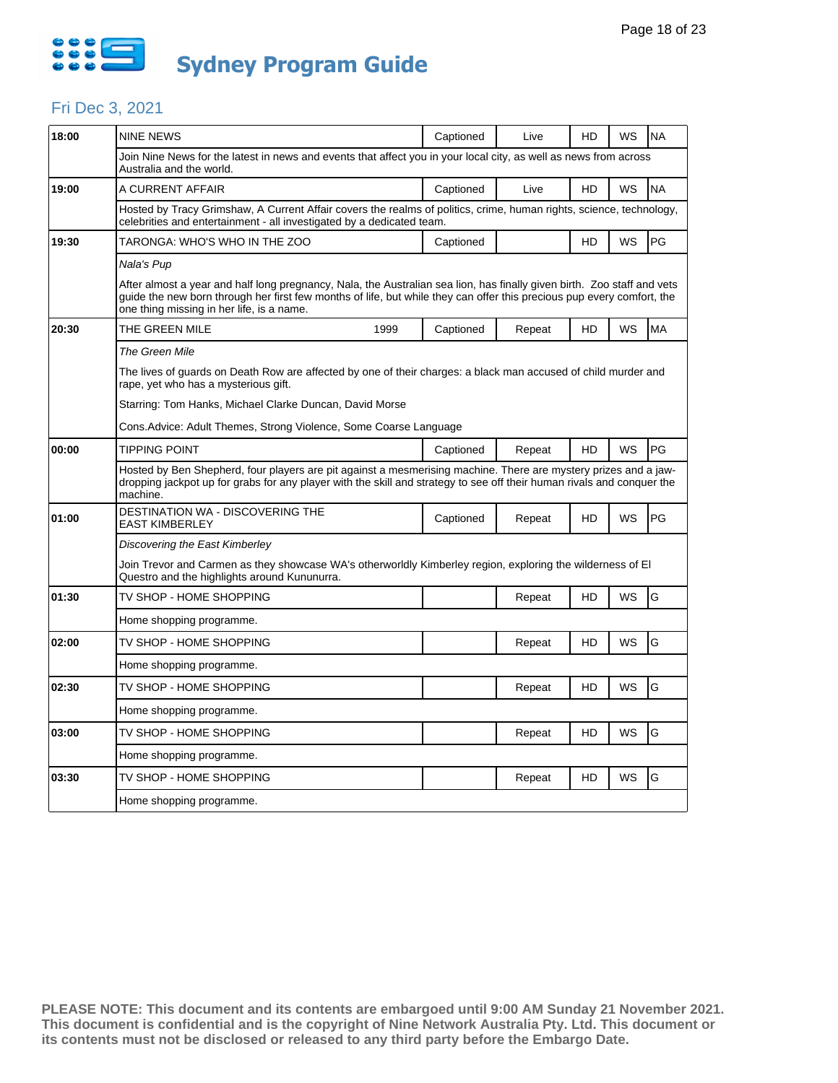

#### Fri Dec 3, 2021

| 18:00 | <b>NINE NEWS</b>                                                                                                                                                                                                                                                                               |                                                                                                                  | Captioned | Live   | HD | WS | <b>NA</b> |  |  |  |
|-------|------------------------------------------------------------------------------------------------------------------------------------------------------------------------------------------------------------------------------------------------------------------------------------------------|------------------------------------------------------------------------------------------------------------------|-----------|--------|----|----|-----------|--|--|--|
|       | Australia and the world.                                                                                                                                                                                                                                                                       | Join Nine News for the latest in news and events that affect you in your local city, as well as news from across |           |        |    |    |           |  |  |  |
| 19:00 | A CURRENT AFFAIR                                                                                                                                                                                                                                                                               |                                                                                                                  | Captioned | Live   | HD | WS | <b>NA</b> |  |  |  |
|       | Hosted by Tracy Grimshaw, A Current Affair covers the realms of politics, crime, human rights, science, technology,<br>celebrities and entertainment - all investigated by a dedicated team.                                                                                                   |                                                                                                                  |           |        |    |    |           |  |  |  |
| 19:30 | TARONGA: WHO'S WHO IN THE ZOO                                                                                                                                                                                                                                                                  |                                                                                                                  | Captioned |        | HD | WS | PG        |  |  |  |
|       | Nala's Pup                                                                                                                                                                                                                                                                                     |                                                                                                                  |           |        |    |    |           |  |  |  |
|       | After almost a year and half long pregnancy, Nala, the Australian sea lion, has finally given birth. Zoo staff and vets<br>quide the new born through her first few months of life, but while they can offer this precious pup every comfort, the<br>one thing missing in her life, is a name. |                                                                                                                  |           |        |    |    |           |  |  |  |
| 20:30 | THE GREEN MILE                                                                                                                                                                                                                                                                                 | 1999                                                                                                             | Captioned | Repeat | HD | WS | <b>MA</b> |  |  |  |
|       | The Green Mile                                                                                                                                                                                                                                                                                 |                                                                                                                  |           |        |    |    |           |  |  |  |
|       | The lives of guards on Death Row are affected by one of their charges: a black man accused of child murder and<br>rape, yet who has a mysterious gift.                                                                                                                                         |                                                                                                                  |           |        |    |    |           |  |  |  |
|       |                                                                                                                                                                                                                                                                                                | Starring: Tom Hanks, Michael Clarke Duncan, David Morse                                                          |           |        |    |    |           |  |  |  |
|       | Cons.Advice: Adult Themes, Strong Violence, Some Coarse Language                                                                                                                                                                                                                               |                                                                                                                  |           |        |    |    |           |  |  |  |
| 00:00 | <b>TIPPING POINT</b>                                                                                                                                                                                                                                                                           |                                                                                                                  | Captioned | Repeat | HD | WS | PG        |  |  |  |
|       | Hosted by Ben Shepherd, four players are pit against a mesmerising machine. There are mystery prizes and a jaw-<br>dropping jackpot up for grabs for any player with the skill and strategy to see off their human rivals and conquer the<br>machine.                                          |                                                                                                                  |           |        |    |    |           |  |  |  |
| 01:00 | DESTINATION WA - DISCOVERING THE<br><b>EAST KIMBERLEY</b>                                                                                                                                                                                                                                      |                                                                                                                  | Captioned | Repeat | HD | WS | PG        |  |  |  |
|       | Discovering the East Kimberley                                                                                                                                                                                                                                                                 |                                                                                                                  |           |        |    |    |           |  |  |  |
|       | Join Trevor and Carmen as they showcase WA's otherworldly Kimberley region, exploring the wilderness of El<br>Questro and the highlights around Kununurra.                                                                                                                                     |                                                                                                                  |           |        |    |    |           |  |  |  |
| 01:30 | TV SHOP - HOME SHOPPING                                                                                                                                                                                                                                                                        |                                                                                                                  |           | Repeat | HD | WS | G         |  |  |  |
|       | Home shopping programme.                                                                                                                                                                                                                                                                       |                                                                                                                  |           |        |    |    |           |  |  |  |
| 02:00 | TV SHOP - HOME SHOPPING                                                                                                                                                                                                                                                                        |                                                                                                                  |           | Repeat | HD | WS | G         |  |  |  |
|       | Home shopping programme.                                                                                                                                                                                                                                                                       |                                                                                                                  |           |        |    |    |           |  |  |  |
| 02:30 | TV SHOP - HOME SHOPPING                                                                                                                                                                                                                                                                        |                                                                                                                  |           | Repeat | HD | WS | G         |  |  |  |
|       | Home shopping programme.                                                                                                                                                                                                                                                                       |                                                                                                                  |           |        |    |    |           |  |  |  |
| 03:00 | TV SHOP - HOME SHOPPING                                                                                                                                                                                                                                                                        |                                                                                                                  |           | Repeat | HD | WS | G         |  |  |  |
|       | Home shopping programme.                                                                                                                                                                                                                                                                       |                                                                                                                  |           |        |    |    |           |  |  |  |
| 03:30 | TV SHOP - HOME SHOPPING                                                                                                                                                                                                                                                                        |                                                                                                                  |           | Repeat | HD | WS | G         |  |  |  |
|       | Home shopping programme.                                                                                                                                                                                                                                                                       |                                                                                                                  |           |        |    |    |           |  |  |  |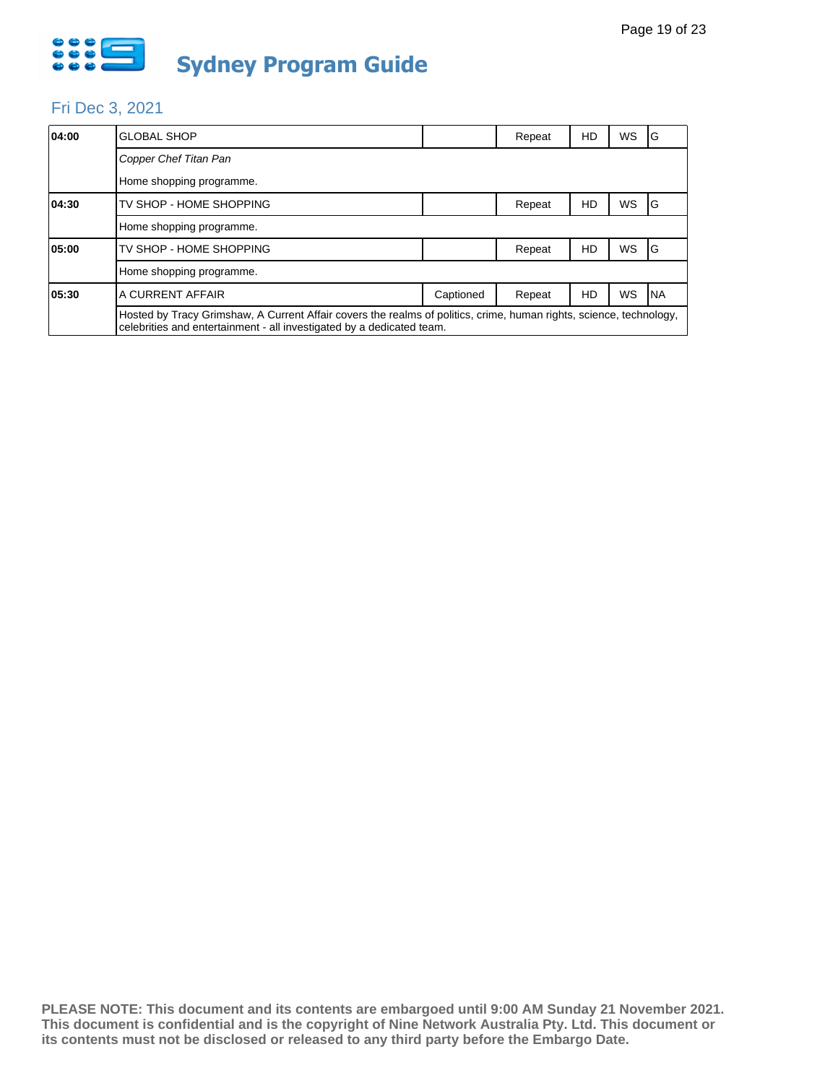

#### Fri Dec 3, 2021

| 04:00 | <b>GLOBAL SHOP</b>                                                                                                                                                                           |           | Repeat | HD | <b>WS</b> | IG  |  |
|-------|----------------------------------------------------------------------------------------------------------------------------------------------------------------------------------------------|-----------|--------|----|-----------|-----|--|
|       | Copper Chef Titan Pan                                                                                                                                                                        |           |        |    |           |     |  |
|       | Home shopping programme.                                                                                                                                                                     |           |        |    |           |     |  |
| 04:30 | TV SHOP - HOME SHOPPING                                                                                                                                                                      |           | Repeat | HD | <b>WS</b> | IG  |  |
|       | Home shopping programme.                                                                                                                                                                     |           |        |    |           |     |  |
| 05:00 | TV SHOP - HOME SHOPPING                                                                                                                                                                      |           | Repeat | HD | <b>WS</b> | IG  |  |
|       | Home shopping programme.                                                                                                                                                                     |           |        |    |           |     |  |
| 05:30 | A CURRENT AFFAIR                                                                                                                                                                             | Captioned | Repeat | HD | WS        | INA |  |
|       | Hosted by Tracy Grimshaw, A Current Affair covers the realms of politics, crime, human rights, science, technology,<br>celebrities and entertainment - all investigated by a dedicated team. |           |        |    |           |     |  |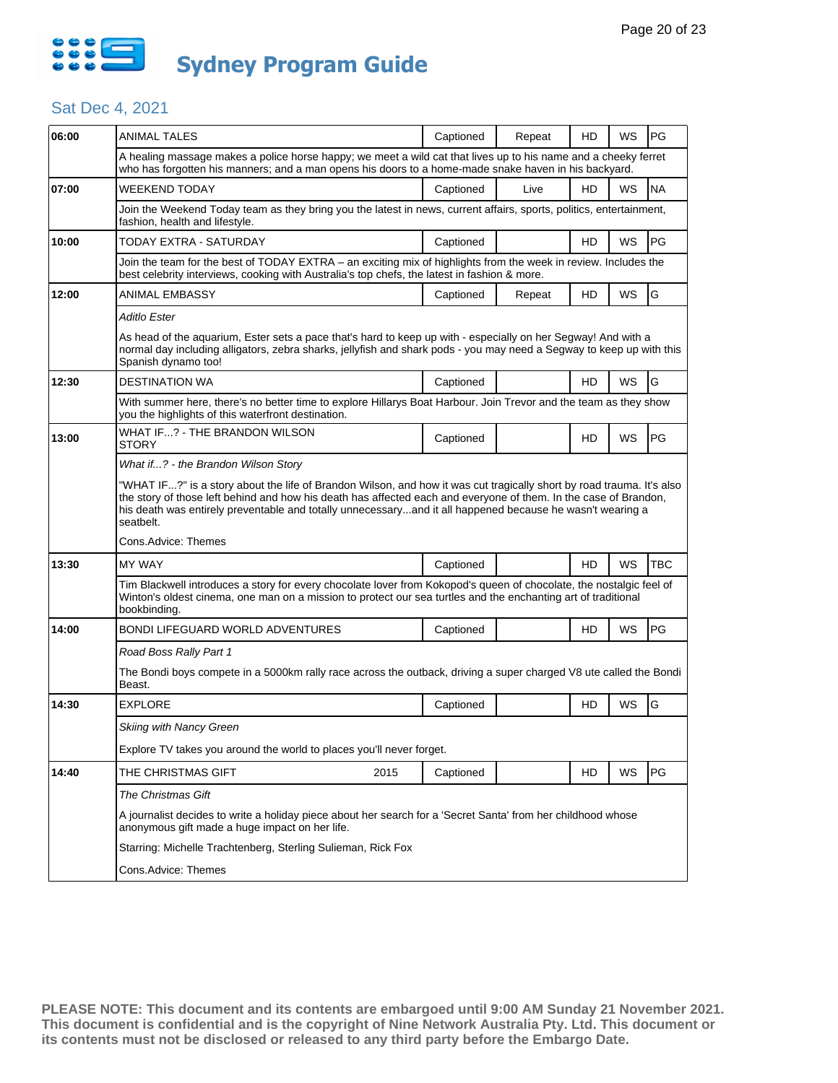

| 06:00 | <b>ANIMAL TALES</b>                                                                                                                                                                                                                                                                                                                                                 | Captioned | Repeat | HD        | WS | <b>PG</b>  |  |  |
|-------|---------------------------------------------------------------------------------------------------------------------------------------------------------------------------------------------------------------------------------------------------------------------------------------------------------------------------------------------------------------------|-----------|--------|-----------|----|------------|--|--|
|       | A healing massage makes a police horse happy; we meet a wild cat that lives up to his name and a cheeky ferret<br>who has forgotten his manners; and a man opens his doors to a home-made snake haven in his backyard.                                                                                                                                              |           |        |           |    |            |  |  |
| 07:00 | WEEKEND TODAY                                                                                                                                                                                                                                                                                                                                                       | Captioned | Live   | <b>HD</b> | WS | <b>NA</b>  |  |  |
|       | Join the Weekend Today team as they bring you the latest in news, current affairs, sports, politics, entertainment,<br>fashion, health and lifestyle.                                                                                                                                                                                                               |           |        |           |    |            |  |  |
| 10:00 | TODAY EXTRA - SATURDAY                                                                                                                                                                                                                                                                                                                                              | Captioned |        | <b>HD</b> | WS | PG         |  |  |
|       | Join the team for the best of TODAY EXTRA - an exciting mix of highlights from the week in review. Includes the<br>best celebrity interviews, cooking with Australia's top chefs, the latest in fashion & more.                                                                                                                                                     |           |        |           |    |            |  |  |
| 12:00 | ANIMAL EMBASSY                                                                                                                                                                                                                                                                                                                                                      | Captioned | Repeat | HD        | WS | G          |  |  |
|       | Aditlo Ester                                                                                                                                                                                                                                                                                                                                                        |           |        |           |    |            |  |  |
|       | As head of the aquarium, Ester sets a pace that's hard to keep up with - especially on her Segway! And with a<br>normal day including alligators, zebra sharks, jellyfish and shark pods - you may need a Segway to keep up with this<br>Spanish dynamo too!                                                                                                        |           |        |           |    |            |  |  |
| 12:30 | <b>DESTINATION WA</b>                                                                                                                                                                                                                                                                                                                                               | Captioned |        | HD        | WS | G          |  |  |
|       | With summer here, there's no better time to explore Hillarys Boat Harbour. Join Trevor and the team as they show<br>you the highlights of this waterfront destination.                                                                                                                                                                                              |           |        |           |    |            |  |  |
| 13:00 | WHAT IF? - THE BRANDON WILSON<br>STORY                                                                                                                                                                                                                                                                                                                              | Captioned |        | HD        | WS | PG         |  |  |
|       | What if? - the Brandon Wilson Story                                                                                                                                                                                                                                                                                                                                 |           |        |           |    |            |  |  |
|       | "WHAT IF?" is a story about the life of Brandon Wilson, and how it was cut tragically short by road trauma. It's also<br>the story of those left behind and how his death has affected each and everyone of them. In the case of Brandon,<br>his death was entirely preventable and totally unnecessaryand it all happened because he wasn't wearing a<br>seatbelt. |           |        |           |    |            |  |  |
|       | Cons.Advice: Themes                                                                                                                                                                                                                                                                                                                                                 |           |        |           |    |            |  |  |
| 13:30 | <b>MY WAY</b>                                                                                                                                                                                                                                                                                                                                                       | Captioned |        | HD        | WS | <b>TBC</b> |  |  |
|       | Tim Blackwell introduces a story for every chocolate lover from Kokopod's queen of chocolate, the nostalgic feel of<br>Winton's oldest cinema, one man on a mission to protect our sea turtles and the enchanting art of traditional<br>bookbinding.                                                                                                                |           |        |           |    |            |  |  |
| 14:00 | BONDI LIFEGUARD WORLD ADVENTURES                                                                                                                                                                                                                                                                                                                                    | Captioned |        | HD        | WS | PG         |  |  |
|       | Road Boss Rally Part 1                                                                                                                                                                                                                                                                                                                                              |           |        |           |    |            |  |  |
|       | The Bondi boys compete in a 5000km rally race across the outback, driving a super charged V8 ute called the Bondi<br>Beast.                                                                                                                                                                                                                                         |           |        |           |    |            |  |  |
| 14:30 | <b>EXPLORE</b>                                                                                                                                                                                                                                                                                                                                                      | Captioned |        | HD        | WS | G          |  |  |
|       | Skiing with Nancy Green                                                                                                                                                                                                                                                                                                                                             |           |        |           |    |            |  |  |
|       | Explore TV takes you around the world to places you'll never forget.                                                                                                                                                                                                                                                                                                |           |        |           |    |            |  |  |
| 14:40 | THE CHRISTMAS GIFT<br>2015                                                                                                                                                                                                                                                                                                                                          | Captioned |        | HD        | WS | PG         |  |  |
|       | <b>The Christmas Gift</b>                                                                                                                                                                                                                                                                                                                                           |           |        |           |    |            |  |  |
|       | A journalist decides to write a holiday piece about her search for a 'Secret Santa' from her childhood whose<br>anonymous gift made a huge impact on her life.                                                                                                                                                                                                      |           |        |           |    |            |  |  |
|       | Starring: Michelle Trachtenberg, Sterling Sulieman, Rick Fox                                                                                                                                                                                                                                                                                                        |           |        |           |    |            |  |  |
|       | Cons.Advice: Themes                                                                                                                                                                                                                                                                                                                                                 |           |        |           |    |            |  |  |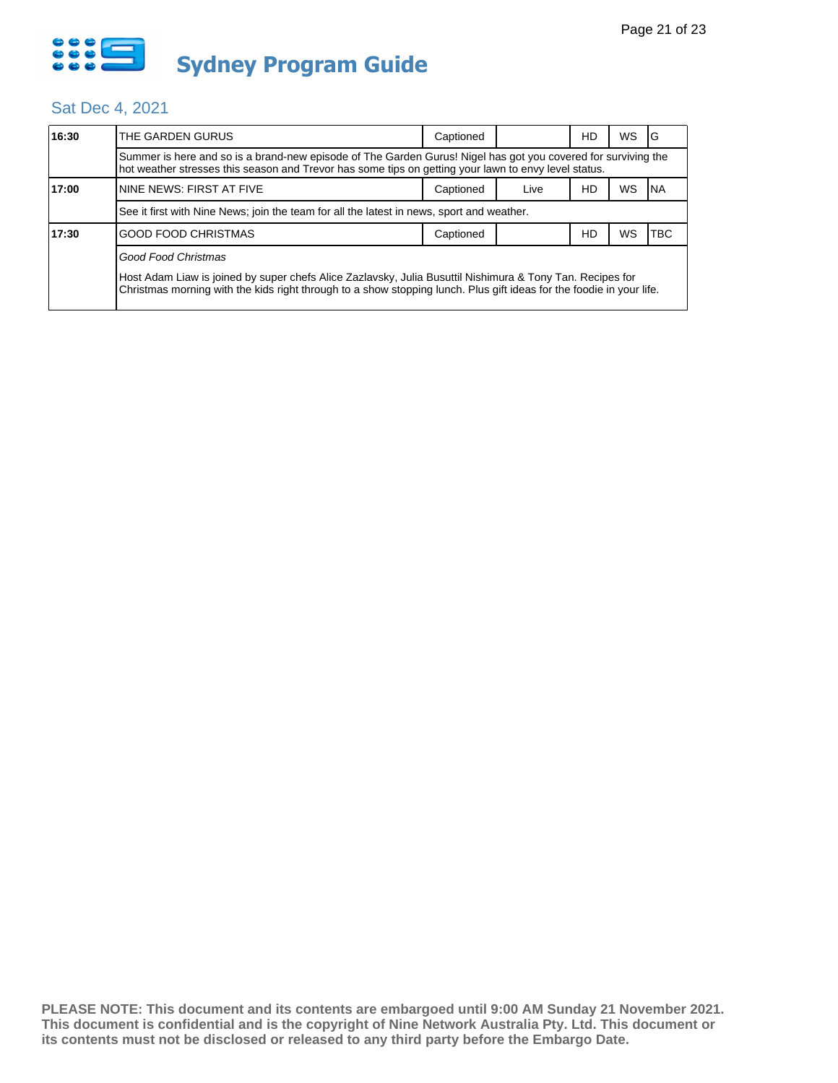

| 16:30 | THE GARDEN GURUS                                                                                                                                                                                                                  | Captioned |      | HD | WS | G   |  |  |
|-------|-----------------------------------------------------------------------------------------------------------------------------------------------------------------------------------------------------------------------------------|-----------|------|----|----|-----|--|--|
|       | Summer is here and so is a brand-new episode of The Garden Gurus! Nigel has got you covered for surviving the<br>hot weather stresses this season and Trevor has some tips on getting your lawn to envy level status.             |           |      |    |    |     |  |  |
| 17:00 | NINE NEWS: FIRST AT FIVE                                                                                                                                                                                                          | Captioned | Live | HD | WS | NA. |  |  |
|       | See it first with Nine News; join the team for all the latest in news, sport and weather.                                                                                                                                         |           |      |    |    |     |  |  |
| 17:30 | <b>GOOD FOOD CHRISTMAS</b>                                                                                                                                                                                                        | Captioned |      | HD | WS | TBC |  |  |
|       | Good Food Christmas                                                                                                                                                                                                               |           |      |    |    |     |  |  |
|       | Host Adam Liaw is joined by super chefs Alice Zazlavsky, Julia Busuttil Nishimura & Tony Tan. Recipes for<br>Christmas morning with the kids right through to a show stopping lunch. Plus gift ideas for the foodie in your life. |           |      |    |    |     |  |  |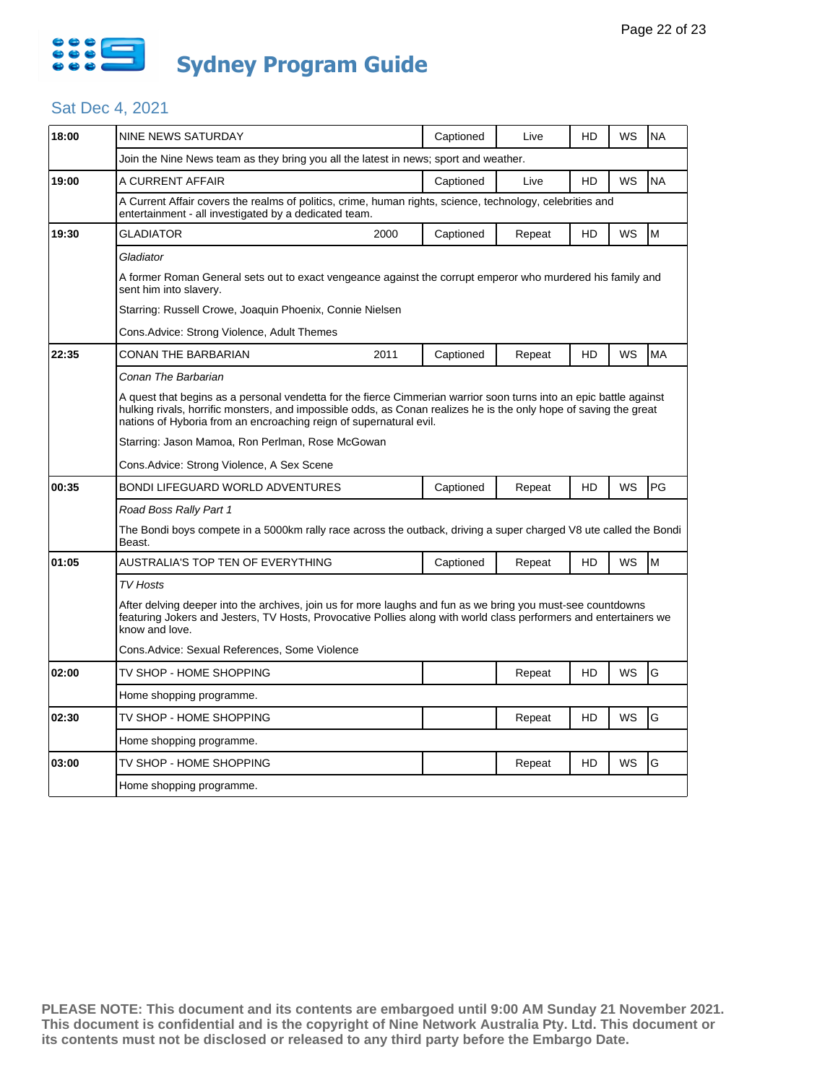

| 18:00 | <b>NINE NEWS SATURDAY</b>                                                                                                                                                                                                                                                                                     |      | Captioned | Live   | HD | WS | <b>NA</b> |  |  |  |
|-------|---------------------------------------------------------------------------------------------------------------------------------------------------------------------------------------------------------------------------------------------------------------------------------------------------------------|------|-----------|--------|----|----|-----------|--|--|--|
|       | Join the Nine News team as they bring you all the latest in news; sport and weather.                                                                                                                                                                                                                          |      |           |        |    |    |           |  |  |  |
| 19:00 | A CURRENT AFFAIR                                                                                                                                                                                                                                                                                              |      | Captioned | Live   | HD | WS | <b>NA</b> |  |  |  |
|       | A Current Affair covers the realms of politics, crime, human rights, science, technology, celebrities and<br>entertainment - all investigated by a dedicated team.                                                                                                                                            |      |           |        |    |    |           |  |  |  |
| 19:30 | <b>GLADIATOR</b>                                                                                                                                                                                                                                                                                              | 2000 | Captioned | Repeat | HD | WS | M         |  |  |  |
|       | Gladiator                                                                                                                                                                                                                                                                                                     |      |           |        |    |    |           |  |  |  |
|       | A former Roman General sets out to exact vengeance against the corrupt emperor who murdered his family and<br>sent him into slavery.                                                                                                                                                                          |      |           |        |    |    |           |  |  |  |
|       | Starring: Russell Crowe, Joaquin Phoenix, Connie Nielsen                                                                                                                                                                                                                                                      |      |           |        |    |    |           |  |  |  |
|       | Cons.Advice: Strong Violence, Adult Themes                                                                                                                                                                                                                                                                    |      |           |        |    |    |           |  |  |  |
| 22:35 | CONAN THE BARBARIAN                                                                                                                                                                                                                                                                                           | 2011 | Captioned | Repeat | HD | WS | <b>MA</b> |  |  |  |
|       | Conan The Barbarian                                                                                                                                                                                                                                                                                           |      |           |        |    |    |           |  |  |  |
|       | A quest that begins as a personal vendetta for the fierce Cimmerian warrior soon turns into an epic battle against<br>hulking rivals, horrific monsters, and impossible odds, as Conan realizes he is the only hope of saving the great<br>nations of Hyboria from an encroaching reign of supernatural evil. |      |           |        |    |    |           |  |  |  |
|       | Starring: Jason Mamoa, Ron Perlman, Rose McGowan                                                                                                                                                                                                                                                              |      |           |        |    |    |           |  |  |  |
|       | Cons.Advice: Strong Violence, A Sex Scene                                                                                                                                                                                                                                                                     |      |           |        |    |    |           |  |  |  |
| 00:35 | BONDI LIFEGUARD WORLD ADVENTURES                                                                                                                                                                                                                                                                              |      | Captioned | Repeat | HD | WS | PG        |  |  |  |
|       | Road Boss Rally Part 1                                                                                                                                                                                                                                                                                        |      |           |        |    |    |           |  |  |  |
|       | The Bondi boys compete in a 5000km rally race across the outback, driving a super charged V8 ute called the Bondi<br>Beast.                                                                                                                                                                                   |      |           |        |    |    |           |  |  |  |
| 01:05 | AUSTRALIA'S TOP TEN OF EVERYTHING                                                                                                                                                                                                                                                                             |      | Captioned | Repeat | HD | WS | M         |  |  |  |
|       | TV Hosts                                                                                                                                                                                                                                                                                                      |      |           |        |    |    |           |  |  |  |
|       | After delving deeper into the archives, join us for more laughs and fun as we bring you must-see countdowns<br>featuring Jokers and Jesters, TV Hosts, Provocative Pollies along with world class performers and entertainers we<br>know and love.                                                            |      |           |        |    |    |           |  |  |  |
|       | Cons.Advice: Sexual References, Some Violence                                                                                                                                                                                                                                                                 |      |           |        |    |    |           |  |  |  |
| 02:00 | TV SHOP - HOME SHOPPING                                                                                                                                                                                                                                                                                       |      |           | Repeat | HD | WS | G         |  |  |  |
|       | Home shopping programme.                                                                                                                                                                                                                                                                                      |      |           |        |    |    |           |  |  |  |
| 02:30 | TV SHOP - HOME SHOPPING                                                                                                                                                                                                                                                                                       |      |           | Repeat | HD | WS | G         |  |  |  |
|       | Home shopping programme.                                                                                                                                                                                                                                                                                      |      |           |        |    |    |           |  |  |  |
| 03:00 | TV SHOP - HOME SHOPPING                                                                                                                                                                                                                                                                                       |      |           | Repeat | HD | WS | G         |  |  |  |
|       | Home shopping programme.                                                                                                                                                                                                                                                                                      |      |           |        |    |    |           |  |  |  |